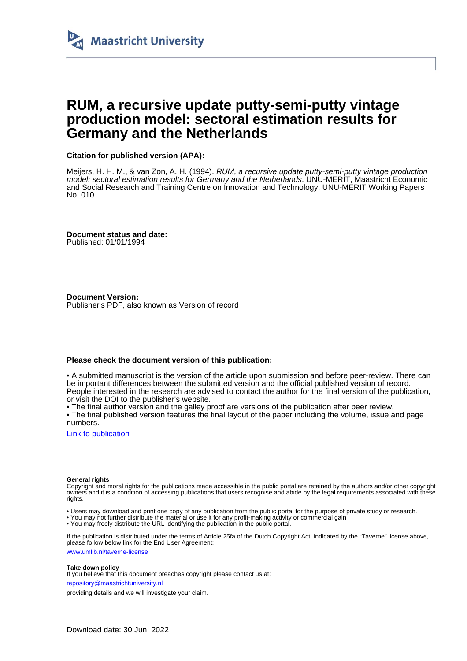

## **RUM, a recursive update putty-semi-putty vintage production model: sectoral estimation results for Germany and the Netherlands**

#### **Citation for published version (APA):**

Meijers, H. H. M., & van Zon, A. H. (1994). RUM, a recursive update putty-semi-putty vintage production model: sectoral estimation results for Germany and the Netherlands. UNU-MERIT, Maastricht Economic and Social Research and Training Centre on Innovation and Technology. UNU-MERIT Working Papers No. 010

**Document status and date:** Published: 01/01/1994

**Document Version:** Publisher's PDF, also known as Version of record

#### **Please check the document version of this publication:**

• A submitted manuscript is the version of the article upon submission and before peer-review. There can be important differences between the submitted version and the official published version of record. People interested in the research are advised to contact the author for the final version of the publication, or visit the DOI to the publisher's website.

• The final author version and the galley proof are versions of the publication after peer review.

• The final published version features the final layout of the paper including the volume, issue and page numbers.

[Link to publication](https://cris.maastrichtuniversity.nl/en/publications/4d248363-4ee7-4487-b658-46347206e2a4)

#### **General rights**

Copyright and moral rights for the publications made accessible in the public portal are retained by the authors and/or other copyright owners and it is a condition of accessing publications that users recognise and abide by the legal requirements associated with these rights.

- Users may download and print one copy of any publication from the public portal for the purpose of private study or research.
- You may not further distribute the material or use it for any profit-making activity or commercial gain
- You may freely distribute the URL identifying the publication in the public portal.

If the publication is distributed under the terms of Article 25fa of the Dutch Copyright Act, indicated by the "Taverne" license above, please follow below link for the End User Agreement:

www.umlib.nl/taverne-license

#### **Take down policy**

If you believe that this document breaches copyright please contact us at:

repository@maastrichtuniversity.nl

providing details and we will investigate your claim.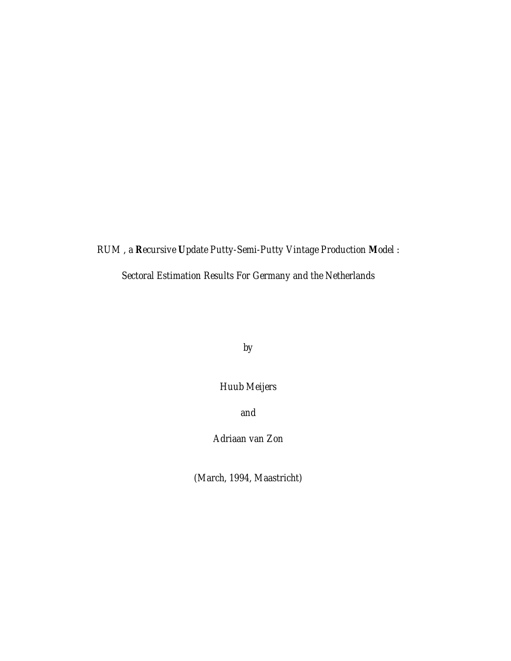## *RUM , a Recursive Update Putty-Semi-Putty Vintage Production Model : Sectoral Estimation Results For Germany and the Netherlands*

*by*

*Huub Meijers*

*and*

*Adriaan van Zon*

*(March, 1994, Maastricht)*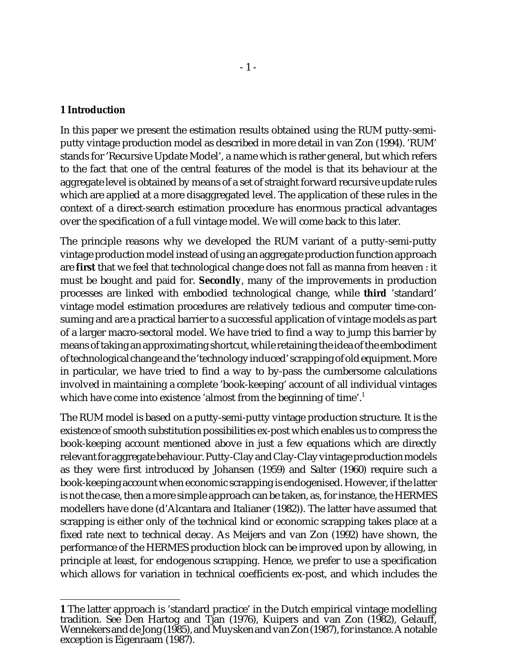#### **1 Introduction**

In this paper we present the estimation results obtained using the RUM putty-semiputty vintage production model as described in more detail in van Zon (1994). 'RUM' stands for 'Recursive Update Model', a name which is rather general, but which refers to the fact that one of the central features of the model is that its behaviour at the aggregate level is obtained by means of a set of straight forward recursive update rules which are applied at a more disaggregated level. The application of these rules in the context of a direct-search estimation procedure has enormous practical advantages over the specification of a full vintage model. We will come back to this later.

The principle reasons why we developed the RUM variant of a putty-semi-putty vintage production model instead of using an aggregate production function approach are **first** that we feel that technological change does not fall as manna from heaven : it must be bought and paid for. **Secondly**, many of the improvements in production processes are linked with embodied technological change, while **third** 'standard' vintage model estimation procedures are relatively tedious and computer time-consuming and are a practical barrier to a successful application of vintage models as part of a larger macro-sectoral model. We have tried to find a way to jump this barrier by means of taking an approximating shortcut, while retaining the idea of the embodiment oftechnologicalchange and the'technology induced'scrapping ofold equipment. More in particular, we have tried to find a way to by-pass the cumbersome calculations involved in maintaining a complete 'book-keeping' account of all individual vintages which have come into existence 'almost from the beginning of time'.<sup>1</sup>

The RUM model is based on a putty-semi-putty vintage production structure. It is the existence of smooth substitution possibilities ex-post which enables us to compress the book-keeping account mentioned above in just a few equations which are directly relevant for aggregate behaviour. Putty-Clay and Clay-Clay vintage production models as they were first introduced by Johansen (1959) and Salter (1960) require such a book-keeping account when economic scrapping is endogenised. However, if the latter is not the case, then a more simple approach can be taken, as, for instance, the HERMES modellers have done (d'Alcantara and Italianer (1982)). The latter have assumed that scrapping is either only of the technical kind or economic scrapping takes place at a fixed rate next to technical decay. As Meijers and van Zon (1992) have shown, the performance of the HERMES production block can be improved upon by allowing, in principle at least, for endogenous scrapping. Hence, we prefer to use a specification which allows for variation in technical coefficients ex-post, and which includes the

**<sup>1</sup>** The latter approach is 'standard practice' in the Dutch empirical vintage modelling tradition. See Den Hartog and Tjan (1976), Kuipers and van Zon (1982), Gelauff, Wennekers and de Jong (1985), and Muysken and van Zon (1987), for instance. A notable exception is Eigenraam (1987).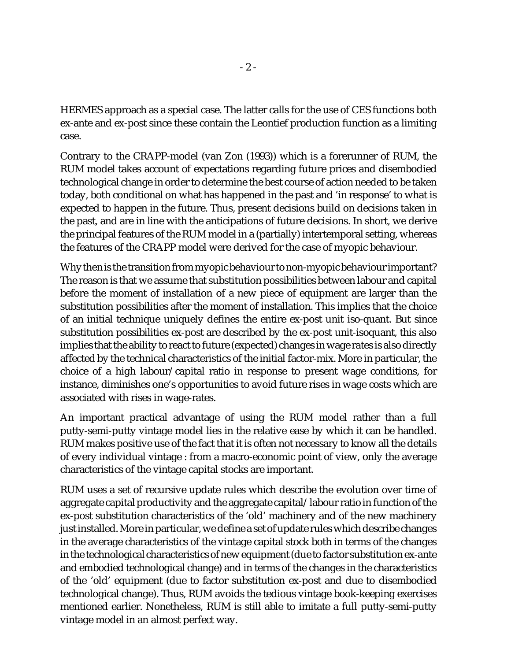HERMES approach as a special case. The latter calls for the use of CES functions both ex-ante and ex-post since these contain the Leontief production function as a limiting case.

Contrary to the CRAPP-model (van Zon (1993)) which is a forerunner of RUM, the RUM model takes account of expectations regarding future prices and disembodied technological change in order to determine the best course of action needed to be taken today, both conditional on what has happened in the past and 'in response' to what is expected to happen in the future. Thus, present decisions build on decisions taken in the past, and are in line with the anticipations of future decisions. In short, we derive the principal features of the RUM model in a (partially) intertemporal setting, whereas the features of the CRAPP model were derived for the case of myopic behaviour.

Whythen is the transition from myopic behaviour to non-myopic behaviour important? The reason is that we assume that substitution possibilities between labour and capital before the moment of installation of a new piece of equipment are larger than the substitution possibilities after the moment of installation. This implies that the choice of an initial technique uniquely defines the entire ex-post unit iso-quant. But since substitution possibilities ex-post are described by the ex-post unit-isoquant, this also implies that the ability to react to future (expected) changes in wage rates is also directly affected by the technical characteristics of the initial factor-mix. More in particular, the choice of a high labour/capital ratio in response to present wage conditions, for instance, diminishes one's opportunities to avoid future rises in wage costs which are associated with rises in wage-rates.

An important practical advantage of using the RUM model rather than a full putty-semi-putty vintage model lies in the relative ease by which it can be handled. RUM makes positive use of the fact that it is often not necessary to know all the details of every individual vintage : from a macro-economic point of view, only the average characteristics of the vintage capital stocks are important.

RUM uses a set of recursive update rules which describe the evolution over time of aggregate capital productivity and the aggregate capital/labour ratio in function of the ex-post substitution characteristics of the 'old' machinery and of the new machinery just installed. More in particular, we define a set of update rules which describe changes in the average characteristics of the vintage capital stock both in terms of the changes in the technological characteristics of new equipment (due to factor substitution ex-ante and embodied technological change) and in terms of the changes in the characteristics of the 'old' equipment (due to factor substitution ex-post and due to disembodied technological change). Thus, RUM avoids the tedious vintage book-keeping exercises mentioned earlier. Nonetheless, RUM is still able to imitate a full putty-semi-putty vintage model in an almost perfect way.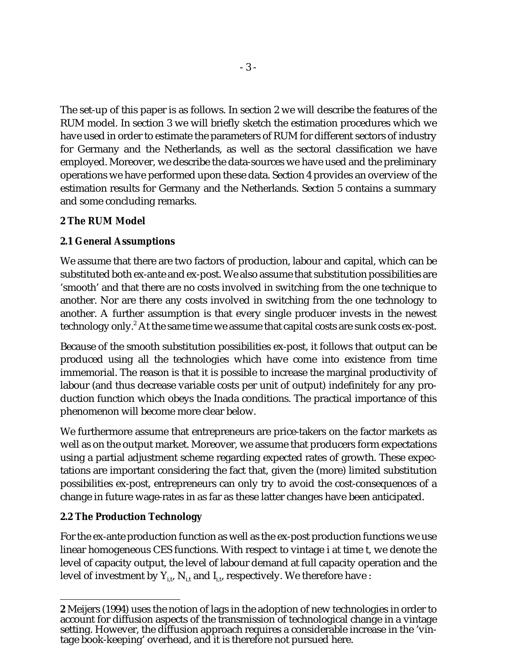The set-up of this paper is as follows. In section 2 we will describe the features of the RUM model. In section 3 we will briefly sketch the estimation procedures which we have used in order to estimate the parameters of RUM for different sectors of industry for Germany and the Netherlands, as well as the sectoral classification we have employed. Moreover, we describe the data-sources we have used and the preliminary operations we have performed upon these data. Section 4 provides an overview of the estimation results for Germany and the Netherlands. Section 5 contains a summary and some concluding remarks.

## **2 The RUM Model**

## **2.1 General Assumptions**

We assume that there are two factors of production, labour and capital, which can be substituted both ex-ante and ex-post. We also assume that substitution possibilities are 'smooth' and that there are no costs involved in switching from the one technique to another. Nor are there any costs involved in switching from the one technology to another. A further assumption is that every single producer invests in the newest technology only.<sup>2</sup> At the same time we assume that capital costs are sunk costs ex-post.

Because of the smooth substitution possibilities ex-post, it follows that output can be produced using all the technologies which have come into existence from time immemorial. The reason is that it is possible to increase the marginal productivity of labour (and thus decrease variable costs per unit of output) indefinitely for any production function which obeys the Inada conditions. The practical importance of this phenomenon will become more clear below.

We furthermore assume that entrepreneurs are price-takers on the factor markets as well as on the output market. Moreover, we assume that producers form expectations using a partial adjustment scheme regarding expected rates of growth. These expectations are important considering the fact that, given the (more) limited substitution possibilities ex-post, entrepreneurs can only try to avoid the cost-consequences of a change in future wage-rates in as far as these latter changes have been anticipated.

## **2.2 The Production Technology**

For the ex-ante production function as well as the ex-post production functions we use linear homogeneous CES functions. With respect to vintage i at time t, we denote the level of capacity output, the level of labour demand at full capacity operation and the level of investment by  $Y_{i,t}$ ,  $N_{i,t}$  and  $I_{i,t}$ , respectively. We therefore have :

**<sup>2</sup>** Meijers (1994) uses the notion of lags in the adoption of new technologies in order to account for diffusion aspects of the transmission of technological change in a vintage setting. However, the diffusion approach requires a considerable increase in the 'vintage book-keeping' overhead, and it is therefore not pursued here.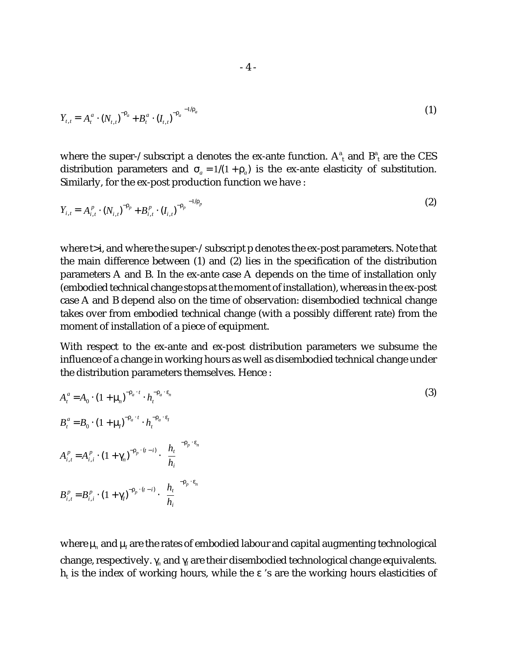$$
Y_{t,t} = \left[ A_t^a \cdot (N_{t,t})^{-\rho_a} + B_t^a \cdot (I_{t,t})^{-\rho_a} \right]^{-1/\rho_a}
$$
 (1)

where the super-/subscript a denotes the ex-ante function.  $A^a_t$  and  $B^a_t$  are the CES distribution parameters and  $\sigma_a = 1/(1 + \rho_a)$  is the ex-ante elasticity of substitution. Similarly, for the ex-post production function we have :

$$
Y_{i,t} = \left[A_{i,t}^p \cdot (N_{i,t})^{-\rho_p} + B_{i,t}^p \cdot (I_{i,t})^{-\rho_p}\right]^{-1/\rho_p}
$$
\n(2)

where t>i, and where the super-/subscript p denotes the ex-post parameters. Note that the main difference between (1) and (2) lies in the specification of the distribution parameters A and B. In the ex-ante case A depends on the time of installation only (embodied technical change stops at the moment of installation), whereas in the ex-post case A and B depend also on the time of observation: disembodied technical change takes over from embodied technical change (with a possibly different rate) from the moment of installation of a piece of equipment.

With respect to the ex-ante and ex-post distribution parameters we subsume the influence of a change in working hours as well as disembodied technical change under the distribution parameters themselves. Hence :

$$
A_t^a = A_0 \cdot (1 + \mu_n)^{-\rho_a \cdot t} \cdot h_t^{-\rho_a \cdot \varepsilon_n}
$$
  
\n
$$
B_t^a = B_0 \cdot (1 + \mu_t)^{-\rho_a \cdot t} \cdot h_t^{-\rho_a \cdot \varepsilon_t}
$$
  
\n
$$
A_{i,t}^p = A_{i,i}^p \cdot (1 + \gamma_n)^{-\rho_p \cdot (t - i)} \cdot \left\{ \frac{h_t}{h_i} \right\}^{-\rho_p \cdot \varepsilon_n}
$$
  
\n
$$
B_{i,t}^p = B_{i,i}^p \cdot (1 + \gamma_t)^{-\rho_p \cdot (t - i)} \cdot \left\{ \frac{h_t}{h_i} \right\}^{-\rho_p \cdot \varepsilon_n}
$$

where  $\mu_n$  and  $\mu_I$  are the rates of embodied labour and capital augmenting technological change, respectively.  $\gamma_n$  and  $\gamma_l$  are their disembodied technological change equivalents.  $\mathbf{h}_{\mathsf{t}}$  is the index of working hours, while the ε 's are the working hours elasticities of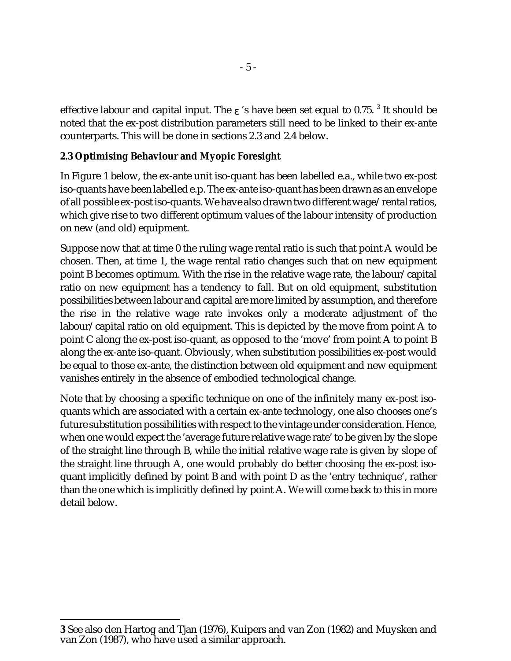effective labour and capital input. The  $\varepsilon$  's have been set equal to 0.75.  $^3$  It should be noted that the ex-post distribution parameters still need to be linked to their ex-ante counterparts. This will be done in sections 2.3 and 2.4 below.

## **2.3 Optimising Behaviour and Myopic Foresight**

In Figure 1 below, the ex-ante unit iso-quant has been labelled e.a., while two ex-post iso-quants have been labelled e.p. The ex-ante iso-quant has been drawn as an envelope of all possible ex-post iso-quants. We have also drawn two different wage/rental ratios, which give rise to two different optimum values of the labour intensity of production on new (and old) equipment.

Suppose now that at time 0 the ruling wage rental ratio is such that point A would be chosen. Then, at time 1, the wage rental ratio changes such that on new equipment point B becomes optimum. With the rise in the relative wage rate, the labour/capital ratio on new equipment has a tendency to fall. But on old equipment, substitution possibilities between labour and capital are more limited by assumption, and therefore the rise in the relative wage rate invokes only a moderate adjustment of the labour/capital ratio on old equipment. This is depicted by the move from point A to point C along the ex-post iso-quant, as opposed to the 'move' from point A to point B along the ex-ante iso-quant. Obviously, when substitution possibilities ex-post would be equal to those ex-ante, the distinction between old equipment and new equipment vanishes entirely in the absence of embodied technological change.

Note that by choosing a specific technique on one of the infinitely many ex-post isoquants which are associated with a certain ex-ante technology, one also chooses one's future substitution possibilities with respect to the vintage under consideration. Hence, when one would expect the 'average future relative wage rate' to be given by the slope of the straight line through B, while the initial relative wage rate is given by slope of the straight line through A, one would probably do better choosing the ex-post isoquant implicitly defined by point B and with point D as the 'entry technique', rather than the one which is implicitly defined by point A. We will come back to this in more detail below.

**<sup>3</sup>** See also den Hartog and Tjan (1976), Kuipers and van Zon (1982) and Muysken and van Zon (1987), who have used a similar approach.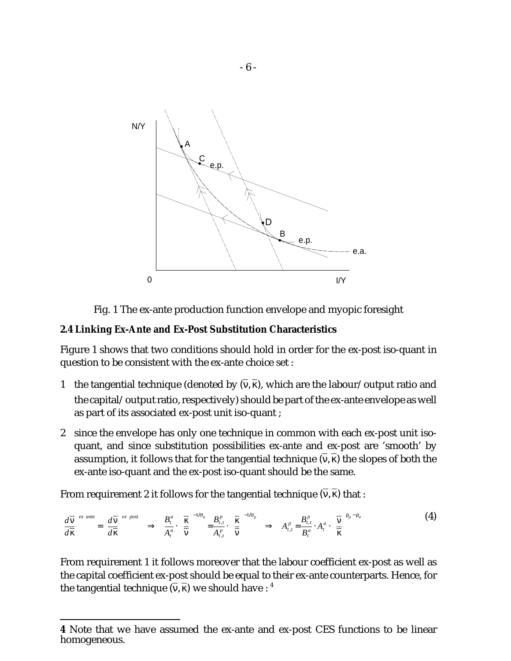

Fig. 1 The ex-ante production function envelope and myopic foresight

#### **2.4 Linking Ex-Ante and Ex-Post Substitution Characteristics**

Figure 1 shows that two conditions should hold in order for the ex-post iso-quant in question to be consistent with the ex-ante choice set :

- 1 the tangential technique (denoted by (ν, κ), which are the labour/output ratio and the capital/output ratio, respectively) should be part of the ex-ante envelope as well as part of its associated ex-post unit iso-quant ;
- 2 since the envelope has only one technique in common with each ex-post unit isoquant, and since substitution possibilities ex-ante and ex-post are 'smooth' by assumption, it follows that for the tangential technique (ν, κ) the slopes of both the ex-ante iso-quant and the ex-post iso-quant should be the same.

From requirement 2 it follows for the tangential technique (v,  $\kappa$ ) that :

$$
\left(\frac{d\overline{v}}{d\overline{\kappa}}\right)^{ex\text{ ante}} = \left(\frac{d\overline{v}}{d\overline{\kappa}}\right)^{ex\text{ post}} \Rightarrow \frac{B_t^a}{A_t^a} \cdot \left\{\frac{\overline{\kappa}}{\overline{v}}\right\}^{-1/\sigma_a} = \frac{B_{t,t}^p}{A_{t,t}^p} \cdot \left\{\frac{\overline{\kappa}}{\overline{v}}\right\}^{-1/\sigma_p} \Rightarrow A_{t,t}^p = \frac{B_{t,t}^p}{B_t^a} \cdot A_t^a \cdot \left(\frac{\overline{v}}{\overline{\kappa}}\right)^{\rho_p - \rho_a}
$$
(4)

From requirement 1 it follows moreover that the labour coefficient ex-post as well as the capital coefficient ex-post should be equal to their ex-ante counterparts. Hence, for the tangential technique  $(\overline{\sf v},\overline{\sf \kappa})$  we should have :  $^4$ 

**<sup>4</sup>** Note that we have assumed the ex-ante and ex-post CES functions to be linear homogeneous.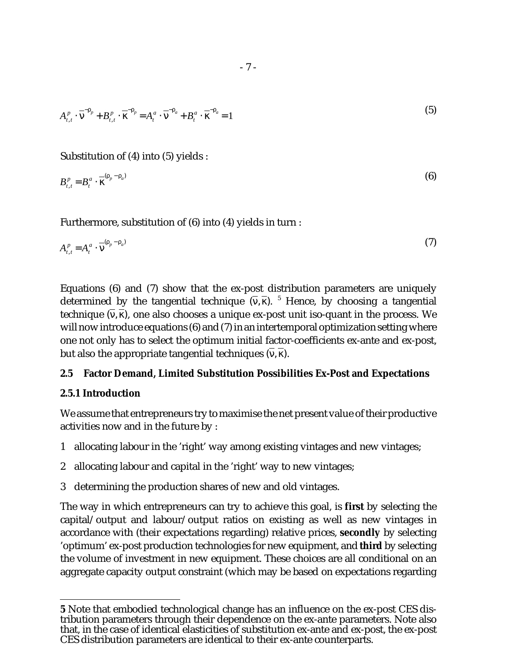$$
A_{t,t}^p \cdot \overline{\mathbf{v}}^{-\mathbf{p}_p} + B_{t,t}^p \cdot \overline{\mathbf{x}}^{-\mathbf{p}_p} = A_t^a \cdot \overline{\mathbf{v}}^{-\mathbf{p}_a} + B_t^a \cdot \overline{\mathbf{x}}^{-\mathbf{p}_a} = 1
$$
\n<sup>(5)</sup>

Substitution of (4) into (5) yields :

$$
B_{t,i}^p = B_i^a \cdot \overline{\kappa}^{(p_p - p_a)} \tag{6}
$$

Furthermore, substitution of (6) into (4) yields in turn :

$$
A_{t,t}^p = A_t^a \cdot \overline{\mathbf{v}}^{(p_p - p_a)} \tag{7}
$$

Equations (6) and (7) show that the ex-post distribution parameters are uniquely determined by the tangential technique  $(\overline{v}, \overline{k})$ . <sup>5</sup> Hence, by choosing a tangential technique  $(v, \kappa)$ , one also chooses a unique ex-post unit iso-quant in the process. We will now introduce equations (6) and (7) in an intertemporal optimization setting where one not only has to select the optimum initial factor-coefficients ex-ante and ex-post, but also the appropriate tangential techniques (v,  $\kappa$ ).

#### **2.5 Factor Demand, Limited Substitution Possibilities Ex-Post and Expectations**

#### **2.5.1 Introduction**

We assume that entrepreneurs try to maximise the net present value of their productive activities now and in the future by :

- 1 allocating labour in the 'right' way among existing vintages and new vintages;
- 2 allocating labour and capital in the 'right' way to new vintages;
- 3 determining the production shares of new and old vintages.

The way in which entrepreneurs can try to achieve this goal, is **first** by selecting the capital/output and labour/output ratios on existing as well as new vintages in accordance with (their expectations regarding) relative prices, **secondly** by selecting 'optimum' ex-post production technologies for new equipment, and **third** by selecting the volume of investment in new equipment. These choices are all conditional on an aggregate capacity output constraint (which may be based on expectations regarding

**<sup>5</sup>** Note that embodied technological change has an influence on the ex-post CES distribution parameters through their dependence on the ex-ante parameters. Note also that, in the case of identical elasticities of substitution ex-ante and ex-post, the ex-post CES distribution parameters are identical to their ex-ante counterparts.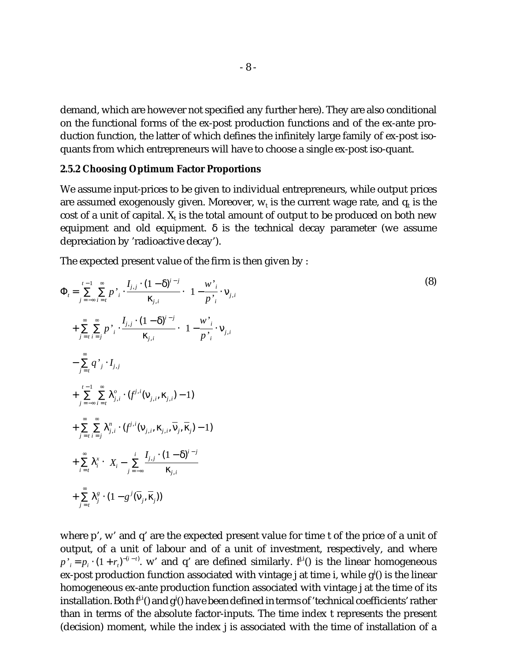demand, which are however not specified any further here). They are also conditional on the functional forms of the ex-post production functions and of the ex-ante production function, the latter of which defines the infinitely large family of ex-post isoquants from which entrepreneurs will have to choose a single ex-post iso-quant.

#### **2.5.2 Choosing Optimum Factor Proportions**

We assume input-prices to be given to individual entrepreneurs, while output prices are assumed exogenously given. Moreover,  $w_t$  is the current wage rate, and  $q_t$  is the cost of a unit of capital.  $X_t$  is the total amount of output to be produced on both new equipment and old equipment.  $\delta$  is the technical decay parameter (we assume depreciation by 'radioactive decay').

The expected present value of the firm is then given by :

$$
\Phi_{t} = \sum_{j=-\infty}^{t-1} \sum_{i=1}^{\infty} p^{\prime} \cdot \frac{I_{j,j} \cdot (1-\delta)^{i-j}}{\kappa_{j,i}} \cdot \left(1 - \frac{w^{\prime}_{i}}{p^{\prime}_{i}} \cdot \mathbf{v}_{j,i}\right) \n+ \sum_{j=t}^{\infty} \sum_{i=j}^{\infty} p^{\prime} \cdot \frac{I_{j,j} \cdot (1-\delta)^{i-j}}{\kappa_{j,i}} \cdot \left(1 - \frac{w^{\prime}_{i}}{p^{\prime}_{i}} \cdot \mathbf{v}_{j,i}\right) \n- \sum_{j=t}^{\infty} q^{\prime} \cdot I_{j,j} \n+ \sum_{j=-\infty}^{t-1} \sum_{i=t}^{\infty} \lambda_{j,i}^{o} \cdot (f^{j,i}(\mathbf{v}_{j,i}, \mathbf{k}_{j,i}) - 1) \n+ \sum_{j=t}^{\infty} \sum_{i=j}^{\infty} \lambda_{j,i}^{n} \cdot (f^{j,i}(\mathbf{v}_{j,i}, \mathbf{k}_{j,i}, \overline{\mathbf{v}}_{j}, \overline{\mathbf{k}}_{j}) - 1) \n+ \sum_{i=t}^{\infty} \lambda_{i}^{x} \cdot \left(X_{i} - \sum_{j=-\infty}^{t} \frac{I_{j,j} \cdot (1-\delta)^{i-j}}{\kappa_{j,i}}\right) \n+ \sum_{j=t}^{\infty} \lambda_{j}^{x} \cdot (1 - g^{j}(\overline{\mathbf{v}}_{j}, \overline{\mathbf{k}}_{j}))
$$
\n(8)

where p', w' and q' are the expected present value for time t of the price of a unit of output, of a unit of labour and of a unit of investment, respectively, and where  $p^*{}_{i} = p_i \cdot (1 + r_t)^{-(i-t)}$ . W' and q' are defined similarly.  $f^{i}$ <sup>t</sup> $()$  is the linear homogeneous ex-post production function associated with vintage j at time i, while  $\mathsf{g}^{ \mathsf{j} }$  is the linear homogeneous ex-ante production function associated with vintage j at the time of its installation. Both  $\mathrm{f}^{\mathrm{i}\mathrm{i}}()$  and  $\mathrm{g}^{\mathrm{i}}()$  have been defined in terms of 'technical coefficients' rather than in terms of the absolute factor-inputs. The time index t represents the present (decision) moment, while the index j is associated with the time of installation of a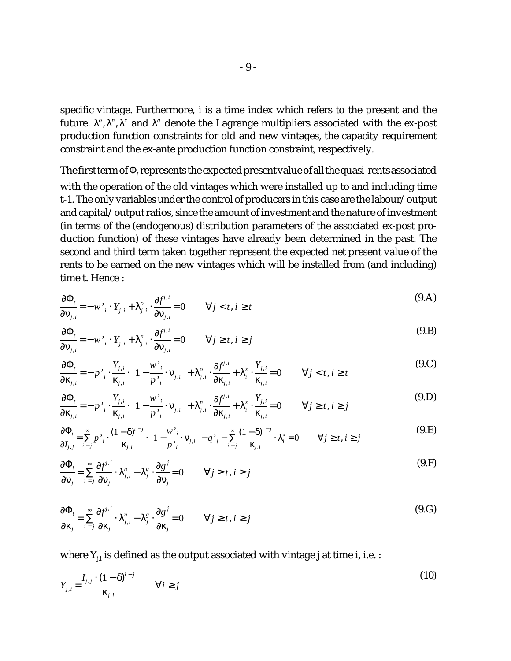specific vintage. Furthermore, i is a time index which refers to the present and the future.  $\lambda^o, \lambda^n, \lambda^x$  and  $\lambda^g$  denote the Lagrange multipliers associated with the ex-post production function constraints for old and new vintages, the capacity requirement constraint and the ex-ante production function constraint, respectively.

The first term of  $\Phi_{\iota}$  represents the expected present value of all the quasi-rents associated with the operation of the old vintages which were installed up to and including time t-1. The only variables under the control of producers in this case are the labour/output and capital/output ratios, since the amount of investment and the nature of investment (in terms of the (endogenous) distribution parameters of the associated ex-post production function) of these vintages have already been determined in the past. The second and third term taken together represent the expected net present value of the rents to be earned on the new vintages which will be installed from (and including) time t. Hence :

$$
\frac{\partial \Phi_t}{\partial v_{j,i}} = -w_i' \cdot Y_{j,i} + \lambda_{j,i}^o \cdot \frac{\partial f^{j,i}}{\partial v_{j,i}} = 0 \qquad \forall j < t, i \ge t
$$
\n(9.4)

$$
\frac{\partial \Phi_t}{\partial v_{j,i}} = -w_i' \cdot Y_{j,i} + \lambda_{j,i}^n \cdot \frac{\partial f^{j,i}}{\partial v_{j,i}} = 0 \qquad \forall j \ge t, i \ge j
$$
\n(9.8)

$$
\frac{\partial \Phi_t}{\partial \kappa_{j,i}} = -p^{\prime}{}_i \cdot \frac{Y_{j,i}}{\kappa_{j,i}} \cdot \left(1 - \frac{w^{\prime}}{p^{\prime}}_i \cdot \mathbf{v}_{j,i}\right) + \lambda^o_{j,i} \cdot \frac{\partial f^{j,i}}{\partial \kappa_{j,i}} + \lambda^x_i \cdot \frac{Y_{j,i}}{\kappa_{j,i}} = 0 \qquad \forall j < t, i \ge t
$$
\n(9.C)

$$
\frac{\partial \Phi_t}{\partial \kappa_{j,i}} = -p'_{i} \cdot \frac{Y_{j,i}}{\kappa_{j,i}} \cdot \left(1 - \frac{w'}{p'}_{i} \cdot \mathbf{v}_{j,i}\right) + \lambda_{j,i}^{n} \cdot \frac{\partial f^{j,i}}{\partial \kappa_{j,i}} + \lambda_i^{x} \cdot \frac{Y_{j,i}}{\kappa_{j,i}} = 0 \qquad \forall j \ge t, i \ge j
$$
\n(9. D)

$$
\frac{\partial \Phi_t}{\partial I_{j,j}} = \sum_{i=j}^{\infty} p_i \cdot \frac{(1-\delta)^{i-j}}{\kappa_{j,i}} \cdot \left(1 - \frac{w_i}{p_i} \cdot v_{j,i}\right) - q_i - \sum_{i=j}^{\infty} \frac{(1-\delta)^{i-j}}{\kappa_{j,i}} \cdot \lambda_i^x = 0 \qquad \forall j \ge t, i \ge j
$$
\n(9. E)

$$
\frac{\partial \Phi_t}{\partial \overline{v}_j} = \sum_{i=j}^{\infty} \frac{\partial f^{j,i}}{\partial \overline{v}_j} \cdot \lambda_{j,i}^n - \lambda_j^g \cdot \frac{\partial g^j}{\partial \overline{v}_j} = 0 \qquad \forall j \ge t, i \ge j
$$
\n(9.5)

$$
\frac{\partial \Phi_t}{\partial \overline{\kappa}_j} = \sum_{i=j}^{\infty} \frac{\partial f^{j,i}}{\partial \overline{\kappa}_j} \cdot \lambda_{j,i}^n - \lambda_j^g \cdot \frac{\partial g^j}{\partial \overline{\kappa}_j} = 0 \qquad \forall j \geq t, i \geq j
$$
\n(9. G)

where  $Y_{j,i}$  is defined as the output associated with vintage j at time i, i.e. :

$$
Y_{j,i} = \frac{I_{j,j} \cdot (1 - \delta)^{i-j}}{\kappa_{j,i}} \qquad \forall i \ge j
$$
\n(10)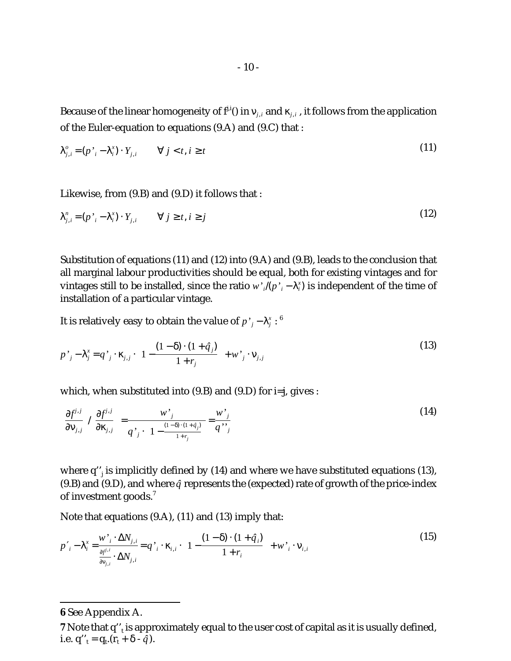Because of the linear homogeneity of  $f^{j,i}(j)$  in  $v_{j,i}$  and  $\kappa_{j,i}$  , it follows from the application of the Euler-equation to equations (9.A) and (9.C) that :

$$
\lambda_{j,i}^o = (p_i - \lambda_i^x) \cdot Y_{j,i} \qquad \forall j < t, i \ge t
$$
\n
$$
(11)
$$

Likewise, from (9.B) and (9.D) it follows that :

$$
\lambda_{j,i}^n = (p^*_{i} - \lambda_i^x) \cdot Y_{j,i} \qquad \forall j \geq t, i \geq j \tag{12}
$$

Substitution of equations (11) and (12) into (9.A) and (9.B), leads to the conclusion that all marginal labour productivities should be equal, both for existing vintages and for vintages still to be installed, since the ratio  $w'$ <sub>*i*</sub>( $p'$ <sub>*i*</sub> −  $\lambda_i^x$ ) is independent of the time of installation of a particular vintage.

It is relatively easy to obtain the value of  $p^*{}_{j}$  –  $\lambda^x_j$  :  $^6$ 

$$
p^{\prime}_{j} - \lambda_{j}^{x} = q^{\prime}_{j} \cdot \kappa_{j,j} \cdot \left(1 - \frac{(1-\delta) \cdot (1+q_{j})}{1+r_{j}}\right) + w^{\prime}_{j} \cdot \mathbf{v}_{j,j}
$$
\n(13)

which, when substituted into (9.B) and (9.D) for i=j, gives :

$$
\left(\frac{\partial f^{j,j}}{\partial v_{j,j}}\right)\left(\frac{\partial f^{j,j}}{\partial \kappa_{j,j}}\right) = \frac{w^{\prime}_{j}}{q^{\prime}_{j} \cdot \left(1 - \frac{(1-\delta)\cdot(1+q_{j})}{1+r_{j}}\right)} = \frac{w^{\prime}_{j}}{q^{\prime \prime}_{j}}
$$
(14)

where  $q''$ <sub>i</sub> is implicitly defined by (14) and where we have substituted equations (13), (9.B) and (9.D), and where  $\hat{q}$  represents the (expected) rate of growth of the price-index of investment goods.<sup>7</sup>

Note that equations (9.A), (11) and (13) imply that:

$$
p'_{i} - \lambda_{i}^{x} = \frac{w'_{i} \cdot \Delta N_{j,i}}{\frac{\partial p^{i,i}}{\partial v_{j,i}} \cdot \Delta N_{j,i}} = q'_{i} \cdot \kappa_{i,i} \cdot \left(1 - \frac{(1-\delta) \cdot (1+\hat{q}_{i})}{1+r_{i}}\right) + w'_{i} \cdot v_{i,i}
$$
\n(15)

**6** See Appendix A.

**7** Note that q"<sub>t</sub> is approximately equal to the user cost of capital as it is usually defined, i.e. q''<sub>t</sub> = q<sub>t</sub>.  $(\vec{r}_t + \delta - \hat{q})$ .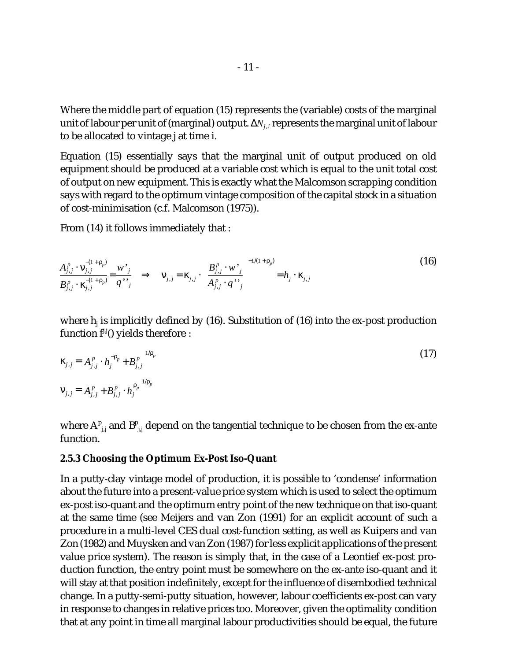Where the middle part of equation (15) represents the (variable) costs of the marginal unit of labour per unit of (marginal) output.  $\Delta\!N_{j,i}$  represents the marginal unit of labour to be allocated to vintage j at time i.

Equation (15) essentially says that the marginal unit of output produced on old equipment should be produced at a variable cost which is equal to the unit total cost of output on new equipment. This is exactly what the Malcomson scrapping condition says with regard to the optimum vintage composition of the capital stock in a situation of cost-minimisation (c.f. Malcomson (1975)).

From (14) it follows immediately that :

$$
\frac{A_{j,j}^p \cdot \mathbf{v}_{j,j}^{-(1+\rho_p)}}{B_{j,j}^p \cdot \kappa_{j,j}^{-(1+\rho_p)}} = \frac{w^*_{j}}{q^{**}_{j}} \quad \Rightarrow \quad \mathbf{v}_{j,j} = \kappa_{j,j} \cdot \left(\frac{B_{j,j}^p \cdot w^*_{j}}{A_{j,j}^p \cdot q^{**}_{j}}\right)^{-1/(1+\rho_p)} = h_j \cdot \kappa_{j,j}
$$
\n(16)

where  $h_j$  is implicitly defined by (16). Substitution of (16) into the ex-post production function  $f^{j,j}($ ) yields therefore :

$$
\kappa_{j,j} = \left\{ A_{j,j}^p \cdot h_j^{-\rho_p} + B_{j,j}^p \right\}^{1/\rho_p}
$$
\n
$$
\mathbf{V}_{j,j} = \left\{ A_{j,j}^p + B_{j,j}^p \cdot h_j^{\rho_p} \right\}^{1/\rho_p}
$$
\n(17)

where  $A_{j;j}^p$  and  $B_{j;j}^p$  depend on the tangential technique to be chosen from the ex-ante function.

#### **2.5.3 Choosing the Optimum Ex-Post Iso-Quant**

In a putty-clay vintage model of production, it is possible to 'condense' information about the future into a present-value price system which is used to select the optimum ex-post iso-quant and the optimum entry point of the new technique on that iso-quant at the same time (see Meijers and van Zon (1991) for an explicit account of such a procedure in a multi-level CES dual cost-function setting, as well as Kuipers and van Zon (1982) and Muysken and van Zon (1987) for less explicit applications of the present value price system). The reason is simply that, in the case of a Leontief ex-post production function, the entry point must be somewhere on the ex-ante iso-quant and it will stay at that position indefinitely, except for the influence of disembodied technical change. In a putty-semi-putty situation, however, labour coefficients ex-post can vary in response to changes in relative prices too. Moreover, given the optimality condition that at any point in time all marginal labour productivities should be equal, the future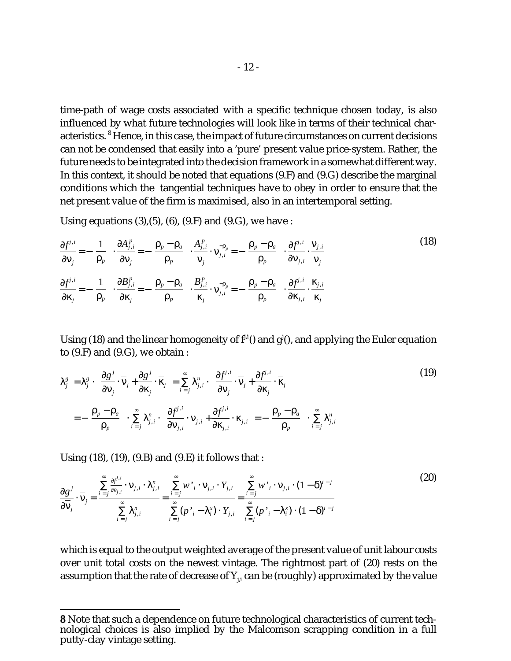time-path of wage costs associated with a specific technique chosen today, is also influenced by what future technologies will look like in terms of their technical characteristics. <sup>8</sup> Hence, in this case, the impact of future circumstances on current decisions can not be condensed that easily into a 'pure' present value price-system. Rather, the future needs to be integrated into the decision framework in a somewhat different way. In this context, it should be noted that equations (9.F) and (9.G) describe the marginal conditions which the tangential techniques have to obey in order to ensure that the net present value of the firm is maximised, also in an intertemporal setting.

Using equations  $(3),(5),(6),(9,F)$  and  $(9.G)$ , we have :

$$
\frac{\partial f^{j,i}}{\partial \overline{v}_j} = -\left(\frac{1}{\rho_p}\right) \cdot \frac{\partial A_{j,i}^p}{\partial \overline{v}_j} = -\left(\frac{\rho_p - \rho_a}{\rho_p}\right) \cdot \frac{A_{j,i}^p}{\overline{v}_j} \cdot \mathbf{v}_{j,i}^{-\rho_p} = -\left(\frac{\rho_p - \rho_a}{\rho_p}\right) \cdot \frac{\partial f^{j,i}}{\partial v_{j,i}} \cdot \frac{\mathbf{v}_{j,i}}{\overline{v}_j}
$$
\n
$$
\frac{\partial f^{j,i}}{\partial \overline{\mathbf{x}}_j} = -\left(\frac{1}{\rho_p}\right) \cdot \frac{\partial B_{j,i}^p}{\partial \overline{\mathbf{x}}_j} = -\left(\frac{\rho_p - \rho_a}{\rho_p}\right) \cdot \frac{B_{j,i}^p}{\overline{\mathbf{x}}_j} \cdot \mathbf{v}_{j,i}^{-\rho_p} = -\left(\frac{\rho_p - \rho_a}{\rho_p}\right) \cdot \frac{\partial f^{j,i}}{\partial \mathbf{x}_{j,i}} \cdot \frac{\mathbf{x}_{j,i}}{\overline{\mathbf{x}}_j}
$$
\n(18)

Using (18) and the linear homogeneity of  $f^{j,i}()$  and  $g^{j}()$ , and applying the Euler equation to  $(9.F)$  and  $(9.G)$ , we obtain :

$$
\lambda_j^g = \lambda_j^g \cdot \left( \frac{\partial g^j}{\partial \overline{v}_j} \cdot \overline{v}_j + \frac{\partial g^j}{\partial \overline{\kappa}_j} \cdot \overline{\kappa}_j \right) = \sum_{i=j}^{\infty} \lambda_{j,i}^n \cdot \left( \frac{\partial f^{j,i}}{\partial \overline{v}_j} \cdot \overline{v}_j + \frac{\partial f^{j,i}}{\partial \overline{\kappa}_j} \cdot \overline{\kappa}_j \right)
$$
\n
$$
= -\left( \frac{\rho_p - \rho_a}{\rho_p} \right) \cdot \sum_{i=j}^{\infty} \lambda_{j,i}^n \cdot \left( \frac{\partial f^{j,i}}{\partial v_{j,i}} \cdot v_{j,i} + \frac{\partial f^{j,i}}{\partial \kappa_{j,i}} \cdot \kappa_{j,i} \right) = -\left( \frac{\rho_p - \rho_a}{\rho_p} \right) \cdot \sum_{i=j}^{\infty} \lambda_{j,i}^n
$$
\n(19)

Using  $(18)$ ,  $(19)$ ,  $(9.B)$  and  $(9.E)$  it follows that :

$$
\frac{\partial g^j}{\partial \overline{\mathbf{v}}_j} \cdot \overline{\mathbf{v}}_j = \frac{\sum\limits_{i=j}^{\infty} \frac{\partial f^{j,i}}{\partial v_{j,i}} \cdot \mathbf{v}_{j,i} \cdot \lambda_{j,i}^n}{\sum\limits_{i=j}^{\infty} \lambda_{j,i}^n} = \frac{\sum\limits_{i=j}^{\infty} w^*_{i} \cdot \mathbf{v}_{j,i} \cdot Y_{j,i}}{\sum\limits_{i=j}^{\infty} (p^*_{i} - \lambda_{i}^*) \cdot Y_{j,i}} = \frac{\sum\limits_{i=j}^{\infty} w^*_{i} \cdot \mathbf{v}_{j,i} \cdot (1 - \delta)^{i-j}}{\sum\limits_{i=j}^{\infty} (p^*_{i} - \lambda_{i}^*) \cdot (1 - \delta)^{i-j}}
$$
(20)

which is equal to the output weighted average of the present value of unit labour costs over unit total costs on the newest vintage. The rightmost part of (20) rests on the assumption that the rate of decrease of  $Y_{i,i}$  can be (roughly) approximated by the value

**<sup>8</sup>** Note that such a dependence on future technological characteristics of current technological choices is also implied by the Malcomson scrapping condition in a full putty-clay vintage setting.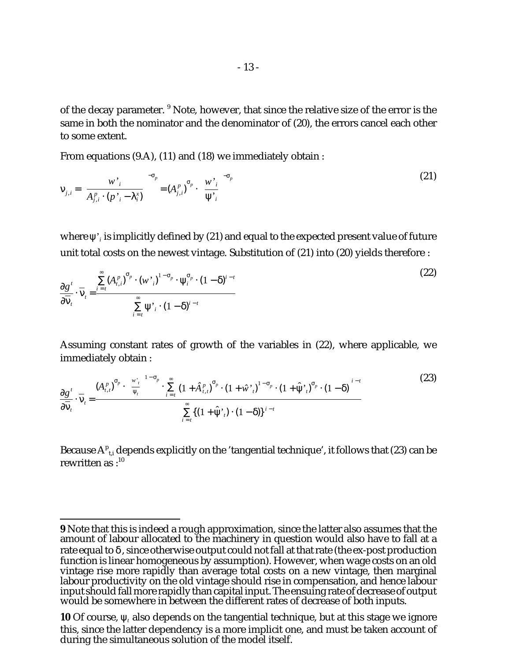of the decay parameter. <sup>9</sup> Note, however, that since the relative size of the error is the same in both the nominator and the denominator of (20), the errors cancel each other to some extent.

From equations (9.A), (11) and (18) we immediately obtain :

$$
\mathbf{v}_{j,i} = \left(\frac{w^{\prime}_{i}}{A_{j,i}^{p} \cdot (p^{\prime}_{i} - \lambda_{i}^{x})}\right)^{-\sigma_{p}} = (A_{j,i}^{p})^{\sigma_{p}} \cdot \left(\frac{w^{\prime}_{i}}{\Psi_{i}}\right)^{-\sigma_{p}}
$$
(21)

where  $\operatorname{\psi}$   $_i$  is implicitly defined by (21) and equal to the expected present value of future unit total costs on the newest vintage. Substitution of (21) into (20) yields therefore :

$$
\frac{\partial g^t}{\partial \overline{v}_t} \cdot \overline{v}_t = \frac{\sum\limits_{i=t}^{\infty} (A_{t,i}^p)^{\sigma_p} \cdot (w^r_i)^{1-\sigma_p} \cdot \psi_i^{\sigma_p} \cdot (1-\delta)^{i-t}}{\sum\limits_{i=t}^{\infty} \psi_i \cdot (1-\delta)^{i-t}}
$$
\n(22)

Assuming constant rates of growth of the variables in (22), where applicable, we immediately obtain :

$$
\frac{\partial g^t}{\partial \overline{v}_t} \cdot \overline{v}_t = \frac{\left(A_{t,t}^p\right)^{\sigma_p} \cdot \left(\frac{w^t}{\Psi_t}\right)^{1-\sigma_p} \cdot \sum_{i=t}^{\infty} \left\{\left(1+\hat{A}_{t,t}^p\right)^{\sigma_p} \cdot \left(1+\hat{w}^t\right)^{1-\sigma_p} \cdot \left(1+\hat{\Psi}^t\right)^{\sigma_p} \cdot \left(1-\delta\right)\right\}^{i-t}}{\sum_{i=t}^{\infty} \left\{\left(1+\hat{\Psi}^t\right) \cdot \left(1-\delta\right)\right\}^{i-t}}
$$
(23)

Because  $\mathbf{A^p}_{\text{t,i}}$  depends explicitly on the 'tangential technique', it follows that (23) can be rewritten as  $:10$ 

**<sup>9</sup>** Note that this is indeed a rough approximation, since the latter also assumes that the amount of labour allocated to the machinery in question would also have to fall at a rate equal to  $\delta$  , since otherwise output could not fall at that rate (the ex-post production function is linear homogeneous by assumption). However, when wage costs on an old vintage rise more rapidly than average total costs on a new vintage, then marginal labour productivity on the old vintage should rise in compensation, and hence labour input should fall more rapidly than capital input. The ensuing rate of decrease of output would be somewhere in between the different rates of decrease of both inputs.

**<sup>10</sup>** Of course,  $\psi_t$  also depends on the tangential technique, but at this stage we ignore this, since the latter dependency is a more implicit one, and must be taken account of during the simultaneous solution of the model itself.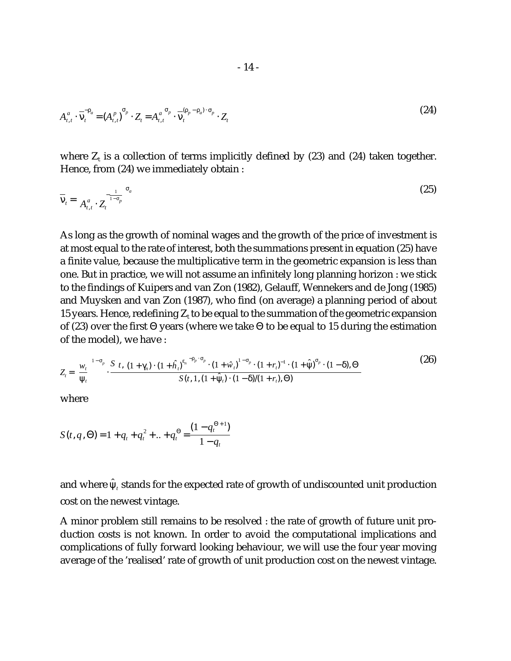$$
A_{t,t}^a \cdot \overline{\mathsf{v}}_t^{-\mathsf{p}_a} = (A_{t,t}^p)^{\sigma_p} \cdot Z_t = A_{t,t}^{a^{\sigma_p}} \cdot \overline{\mathsf{v}}_t^{(\mathsf{p}_p - \mathsf{p}_a) \cdot \sigma_p} \cdot Z_t \tag{24}
$$

where  $Z_t$  is a collection of terms implicitly defined by (23) and (24) taken together. Hence, from (24) we immediately obtain :

$$
\overline{\mathbf{V}}_t = \begin{cases} A_{t,t}^a \cdot \mathbf{Z}_t^{-\frac{1}{1-\sigma_p}} \end{cases}^{\sigma_a} \tag{25}
$$

As long as the growth of nominal wages and the growth of the price of investment is at most equal to the rate of interest, both the summations present in equation (25) have a finite value, because the multiplicative term in the geometric expansion is less than one. But in practice, we will not assume an infinitely long planning horizon : we stick to the findings of Kuipers and van Zon (1982), Gelauff, Wennekers and de Jong (1985) and Muysken and van Zon (1987), who find (on average) a planning period of about 15 years. Hence, redefining  $Z_t$  to be equal to the summation of the geometric expansion of (23) over the first  $\Theta$  years (where we take  $\Theta$  to be equal to 15 during the estimation of the model), we have :

$$
Z_{t} = \left(\frac{w_{t}}{\psi_{t}}\right)^{1-\sigma_{p}} \cdot \frac{S\left(t, \left\{(1+\gamma_{n})\cdot(1+\hat{h}_{t})^{\epsilon_{n}}\right\}^{-\rho_{p}\cdot\sigma_{p}} \cdot (1+\hat{w}_{t})^{1-\sigma_{p}} \cdot (1+r_{t})^{-1} \cdot (1+\hat{\psi})^{\sigma_{p}} \cdot (1-\delta), \Theta\right)}{S(t, 1, (1+\hat{\psi}_{t})\cdot(1-\delta)/(1+r_{t}), \Theta)}
$$
(26)

where

$$
S(t, q, \Theta) = 1 + q_t + q_t^2 + ... + q_t^{\Theta} = \frac{(1 - q_t^{\Theta + 1})}{1 - q_t}
$$

and where  $\hat{\bm{\mathsf{\psi}}}_{\textit{t}}$  stands for the expected rate of growth of undiscounted unit production cost on the newest vintage.

A minor problem still remains to be resolved : the rate of growth of future unit production costs is not known. In order to avoid the computational implications and complications of fully forward looking behaviour, we will use the four year moving average of the 'realised' rate of growth of unit production cost on the newest vintage.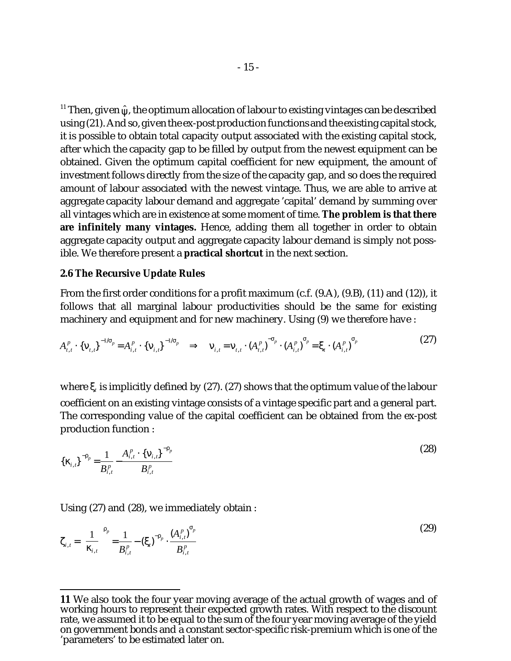$^{11}$  Then, given  $\hat{\bm{\mathsf{\psi}}}$ , the optimum allocation of labour to existing vintages can be described using(21). And so, given the ex-post production functions and the existing capital stock, it is possible to obtain total capacity output associated with the existing capital stock, after which the capacity gap to be filled by output from the newest equipment can be obtained. Given the optimum capital coefficient for new equipment, the amount of investment follows directly from the size of the capacity gap, and so does the required amount of labour associated with the newest vintage. Thus, we are able to arrive at aggregate capacity labour demand and aggregate 'capital' demand by summing over all vintages which are in existence at some moment of time. **The problem is that there are infinitely many vintages.** Hence, adding them all together in order to obtain aggregate capacity output and aggregate capacity labour demand is simply not possible. We therefore present a **practical shortcut** in the next section.

#### **2.6 The Recursive Update Rules**

From the first order conditions for a profit maximum (c.f. (9.A), (9.B), (11) and (12)), it follows that all marginal labour productivities should be the same for existing machinery and equipment and for new machinery. Using (9) we therefore have :

$$
A_{t,t}^p \cdot \{v_{t,t}\}^{-1/\sigma_p} = A_{i,t}^p \cdot \{v_{i,t}\}^{-1/\sigma_p} \implies v_{i,t} = v_{t,t} \cdot (A_{t,t}^p)^{-\sigma_p} \cdot (A_{i,t}^p)^{\sigma_p} = \xi_t \cdot (A_{i,t}^p)^{\sigma_p}
$$
(27)

where ξ, is implicitly defined by (27). (27) shows that the optimum value of the labour coefficient on an existing vintage consists of a vintage specific part and a general part. The corresponding value of the capital coefficient can be obtained from the ex-post production function :

$$
{K_{i,t}}^{\rho_p} = \frac{1}{B_{i,t}^p} - \frac{A_{i,t}^p \cdot {V_{i,t}}^p}{B_{i,t}^p}
$$
 (28)

Using (27) and (28), we immediately obtain :

$$
\zeta_{i,t} = \left\{ \frac{1}{\kappa_{i,t}} \right\}^{\rho_p} = \frac{1}{B_{i,t}^p} - \left( \xi_t \right)^{-\rho_p} \cdot \frac{\left( A_{i,t}^p \right)^{\sigma_p}}{B_{i,t}^p}
$$
\n(29)

**<sup>11</sup>** We also took the four year moving average of the actual growth of wages and of working hours to represent their expected growth rates. With respect to the discount rate, we assumed it to be equal to the sum of the four year moving average of the yield on government bonds and a constant sector-specific risk-premium which is one of the 'parameters' to be estimated later on.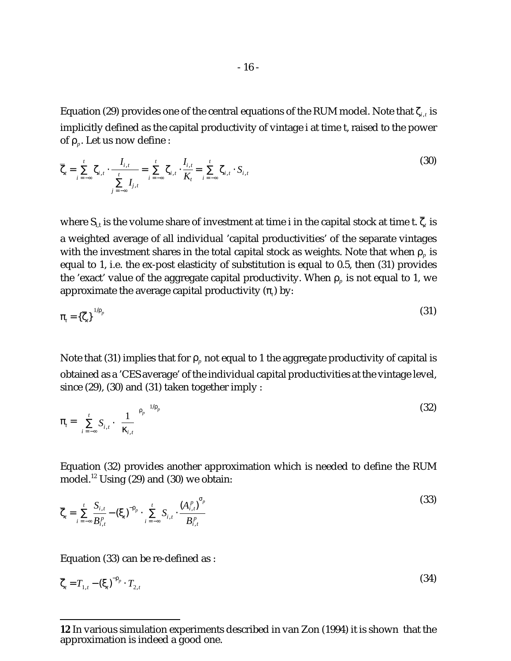Equation (29) provides one of the central equations of the RUM model. Note that  $\zeta_{\scriptscriptstyle i,t}$  is implicitly defined as the capital productivity of vintage i at time t, raised to the power of  $\rho_p$ . Let us now define :

$$
\overline{\zeta}_{t} = \sum_{i = -\infty}^{t} \zeta_{i,t} \cdot \frac{I_{i,t}}{\sum_{j = -\infty}^{t} I_{j,t}} = \sum_{i = -\infty}^{t} \zeta_{i,t} \cdot \frac{I_{i,t}}{K_{t}} = \sum_{i = -\infty}^{t} \zeta_{i,t} \cdot S_{i,t}
$$
\n(30)

where  ${\sf S_{i,t}}$  is the volume share of investment at time i in the capital stock at time t.  $\zeta_{_t}$  is a weighted average of all individual 'capital productivities' of the separate vintages with the investment shares in the total capital stock as weights. Note that when  $\rho_{_{p}}$  is equal to 1, i.e. the ex-post elasticity of substitution is equal to 0.5, then (31) provides the 'exact' value of the aggregate capital productivity. When  $\rho_{_{p}}$  is not equal to 1, we approximate the average capital productivity  $(\pi_{_{\!\ell}})$  by:

$$
\pi_{t} = \left\{ \overline{\zeta}_{t} \right\}^{\frac{1}{\rho_{p}}} \tag{31}
$$

Note that (31) implies that for  $\rho_{_{P}}$  not equal to 1 the aggregate productivity of capital is obtained as a 'CES average' of the individual capital productivities at the vintage level, since (29), (30) and (31) taken together imply :

$$
\pi_{t} = \left\{ \sum_{i=-\infty}^{t} S_{i,t} \cdot \left( \frac{1}{\kappa_{i,t}} \right)^{\rho_p} \right\}^{1/\rho_p}
$$
(32)

Equation (32) provides another approximation which is needed to define the RUM model.<sup>12</sup> Using (29) and (30) we obtain:

$$
\overline{\zeta}_{t} = \sum_{i=-\infty}^{t} \frac{S_{i,t}}{B_{i,t}^{p}} - (\xi_{t})^{-\rho_{p}} \cdot \sum_{i=-\infty}^{t} S_{i,t} \cdot \frac{(A_{i,t}^{p})^{\sigma_{p}}}{B_{i,t}^{p}}
$$
\n(33)

Equation (33) can be re-defined as :

$$
\overline{\zeta}_t = T_{1,t} - (\xi_t)^{-\rho_p} \cdot T_{2,t} \tag{34}
$$

**<sup>12</sup>** In various simulation experiments described in van Zon (1994) it is shown that the approximation is indeed a good one.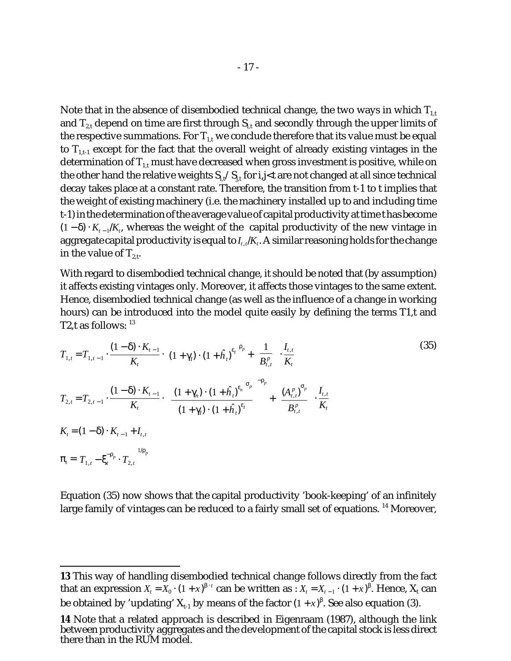Note that in the absence of disembodied technical change, the two ways in which  $T_{1,t}$ and  $T_{2,t}$  depend on time are first through  $S_{i,t}$  and secondly through the upper limits of the respective summations. For  $T_{1,t}$  we conclude therefore that its value must be equal to  $T_{1,t-1}$  except for the fact that the overall weight of already existing vintages in the determination of  $T_{1,t}$  must have decreased when gross investment is positive, while on the other hand the relative weights  $S_{i,t}/S_{i,t}$  for  $i,j$  are not changed at all since technical decay takes place at a constant rate. Therefore, the transition from t-1 to t implies that the weight of existing machinery (i.e. the machinery installed up to and including time t-1) in the determination ofthe average valueof capital productivity at time t hasbecome  $(1 - \delta) \cdot K_{t-1}/K_t$ , whereas the weight of the capital productivity of the new vintage in aggregate capital productivity is equal to  $I_{t,t}/K_t.$  A similar reasoning holds for the change in the value of  $T_{2,t}$ .

With regard to disembodied technical change, it should be noted that (by assumption) it affects existing vintages only. Moreover, it affects those vintages to the same extent. Hence, disembodied technical change (as well as the influence of a change in working hours) can be introduced into the model quite easily by defining the terms T1,t and T2,t as follows:  $13$ 

$$
T_{1,t} = T_{1,t-1} \cdot \frac{(1-\delta) \cdot K_{t-1}}{K_t} \cdot \left( (1+\gamma_t) \cdot (1+\hat{h}_t)^{\epsilon} \right)^{\rho_p} + \left( \frac{1}{B_{t,t}^p} \right) \cdot \frac{I_{t,t}}{K_t}
$$
\n
$$
T_{2,t} = T_{2,t-1} \cdot \frac{(1-\delta) \cdot K_{t-1}}{K_t} \cdot \left( \frac{\left( (1+\gamma_n) \cdot (1+\hat{h}_t)^{\epsilon_n} \right)^{\sigma_p}}{(1+\gamma_t) \cdot (1+\hat{h}_t)^{\epsilon_t}} \right)^{-\rho_p} + \left( \frac{\left( A_{t,t}^p \right)^{\sigma_p}}{B_{t,t}^p} \right) \cdot \frac{I_{t,t}}{K_t}
$$
\n
$$
K_t = (1-\delta) \cdot K_{t-1} + I_{t,t}
$$
\n
$$
\pi_t = \left\{ T_{1,t} - \xi_t^{-\rho_p} \cdot T_{2,t} \right\}^{1/\rho_p}
$$
\n(35)

Equation (35) now shows that the capital productivity 'book-keeping' of an infinitely large family of vintages can be reduced to a fairly small set of equations.<sup>14</sup> Moreover,

**<sup>13</sup>** This way of handling disembodied technical change follows directly from the fact that an expression  $X_t = X_0 \cdot (1 + x)^{\beta \cdot t}$  can be written as :  $X_t = X_{t-1} \cdot (1 + x)^{\beta}$ . Hence,  $X_t$  can be obtained by 'updating'  $X_{t-1}$  by means of the factor  $(1+x)^{\beta}$ . See also equation (3).

**<sup>14</sup>** Note that a related approach is described in Eigenraam (1987), although the link between productivity aggregates and the development of the capital stock is less direct there than in the RUM model.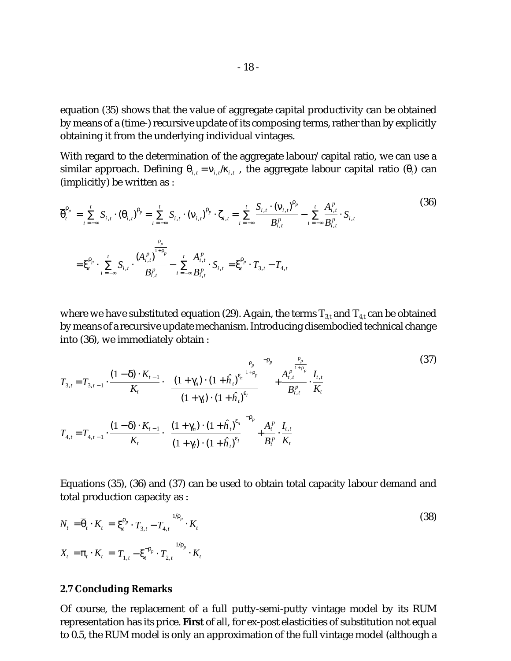equation (35) shows that the value of aggregate capital productivity can be obtained by means of a (time-) recursive update of its composing terms, rather than by explicitly obtaining it from the underlying individual vintages.

With regard to the determination of the aggregate labour/capital ratio, we can use a similar approach. Defining  $\theta_{i,t} = v_{i,t}/\kappa_{i,t}$ , the aggregate labour capital ratio ( $\theta_t$ ) can (implicitly) be written as :

$$
\overline{\theta}_{t}^{\rho_{p}} = \sum_{i=-\infty}^{t} S_{i,t} \cdot (\theta_{i,t})^{\rho_{p}} = \sum_{i=-\infty}^{t} S_{i,t} \cdot (v_{i,t})^{\rho_{p}} \cdot \zeta_{i,t} = \sum_{i=-\infty}^{t} \frac{S_{i,t} \cdot (v_{i,t})^{\rho_{p}}}{B_{i,t}^{p}} - \sum_{i=-\infty}^{t} \frac{A_{i,t}^{p}}{B_{i,t}^{p}} \cdot S_{i,t}
$$
\n(36)

where we have substituted equation (29). Again, the terms  $T_{3,t}$  and  $T_{4,t}$  can be obtained by means of a recursive update mechanism. Introducing disembodied technical change into (36), we immediately obtain :

$$
T_{3,t} = T_{3,t-1} \cdot \frac{(1-\delta) \cdot K_{t-1}}{K_t} \cdot \left( \frac{\left( (1+\gamma_n) \cdot (1+\hat{h}_t)^{\epsilon_n} \right)^{\frac{\rho_p}{1+\rho_p}}}{(1+\gamma_l) \cdot (1+\hat{h}_t)^{\epsilon_t}} \right)^{-\rho_p} + \frac{A_{t,t}^{\rho} \cdot I_{t,t}}{B_{t,t}^{\rho}} \cdot \frac{I_{t,t}}{K_t}
$$
(37)  

$$
T_{4,t} = T_{4,t-1} \cdot \frac{(1-\delta) \cdot K_{t-1}}{K_t} \cdot \left( \frac{(1+\gamma_n) \cdot (1+\hat{h}_t)^{\epsilon_n}}{(1+\gamma_l) \cdot (1+\hat{h}_t)^{\epsilon_t}} \right)^{-\rho_p} + \frac{A_t^{\rho}}{B_t^{\rho}} \cdot \frac{I_{t,t}}{K_t}
$$

Equations (35), (36) and (37) can be used to obtain total capacity labour demand and total production capacity as :

$$
N_t = \overline{\theta}_t \cdot K_t = \left\{ \xi_t^{\rho_p} \cdot T_{3,t} - T_{4,t} \right\}^{1/\rho_p} \cdot K_t
$$
  

$$
X_t = \pi_t \cdot K_t = \left\{ T_{1,t} - \xi_t^{-\rho_p} \cdot T_{2,t} \right\}^{1/\rho_p} \cdot K_t
$$
 (38)

#### **2.7 Concluding Remarks**

Of course, the replacement of a full putty-semi-putty vintage model by its RUM representation has its price. **First** of all, for ex-post elasticities of substitution not equal to 0.5, the RUM model is only an approximation of the full vintage model (although a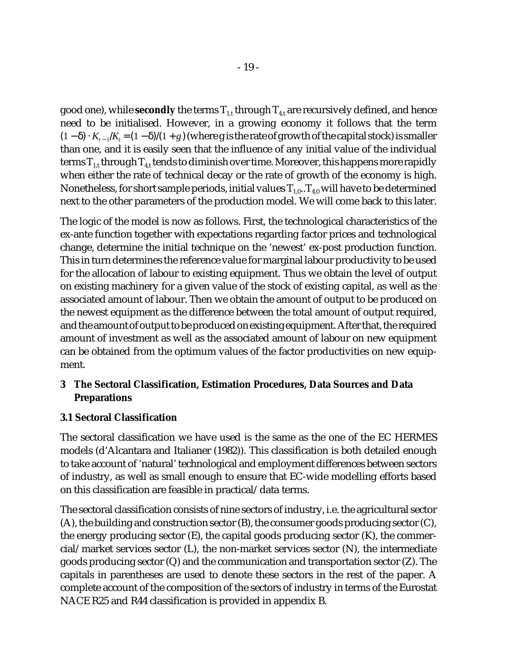good one), while **secondly** the terms  $T_{1,t}$  through  $T_{4,t}$  are recursively defined, and hence need to be initialised. However, in a growing economy it follows that the term  $(1 - \delta) \cdot K_{t-1}/K_t = (1 - \delta)/(1 + g)$  (where g is the rate of growth of the capital stock) is smaller than one, and it is easily seen that the influence of any initial value of the individual terms  $T_{1,t}$  through  $T_{4,t}$  tends to diminish over time. Moreover, this happens more rapidly when either the rate of technical decay or the rate of growth of the economy is high. Nonetheless, for short sample periods, initial values  $T_{1,0}$ .  $T_{4,0}$  will have to be determined next to the other parameters of the production model. We will come back to this later.

The logic of the model is now as follows. First, the technological characteristics of the ex-ante function together with expectations regarding factor prices and technological change, determine the initial technique on the 'newest' ex-post production function. This in turn determines the reference value for marginal labour productivity to be used for the allocation of labour to existing equipment. Thus we obtain the level of output on existing machinery for a given value of the stock of existing capital, as well as the associated amount of labour. Then we obtain the amount of output to be produced on the newest equipment as the difference between the total amount of output required, and the amount of output to be produced on existing equipment. After that, the required amount of investment as well as the associated amount of labour on new equipment can be obtained from the optimum values of the factor productivities on new equipment.

## **3 The Sectoral Classification, Estimation Procedures, Data Sources and Data Preparations**

## **3.1 Sectoral Classification**

The sectoral classification we have used is the same as the one of the EC HERMES models (d'Alcantara and Italianer (1982)). This classification is both detailed enough to take account of 'natural' technological and employment differences between sectors of industry, as well as small enough to ensure that EC-wide modelling efforts based on this classification are feasible in practical/data terms.

The sectoral classification consists of nine sectors of industry, i.e. the agricultural sector (A), the building and construction sector (B), the consumer goods producing sector (C), the energy producing sector (E), the capital goods producing sector (K), the commercial/market services sector (L), the non-market services sector (N), the intermediate goods producing sector (Q) and the communication and transportation sector (Z). The capitals in parentheses are used to denote these sectors in the rest of the paper. A complete account of the composition of the sectors of industry in terms of the Eurostat NACE R25 and R44 classification is provided in appendix B.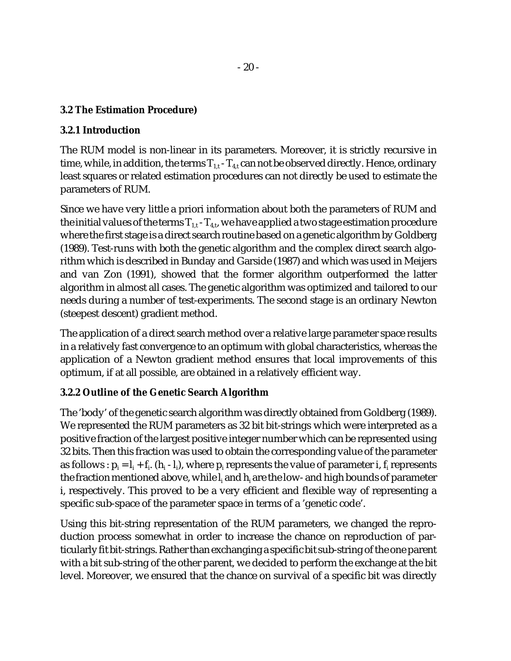## **3.2 The Estimation Procedure)**

## **3.2.1 Introduction**

The RUM model is non-linear in its parameters. Moreover, it is strictly recursive in time, while, in addition, the terms  $T_{1,t} - T_{4,t}$  can not be observed directly. Hence, ordinary least squares or related estimation procedures can not directly be used to estimate the parameters of RUM.

Since we have very little a priori information about both the parameters of RUM and the initial values of the terms  $T_{1,t}$ -  $T_{4,t}$ , we have applied a two stage estimation procedure where the first stage is a direct search routine based on a genetic algorithm by Goldberg (1989). Test-runs with both the genetic algorithm and the complex direct search algorithm which is described in Bunday and Garside (1987) and which was used in Meijers and van Zon (1991), showed that the former algorithm outperformed the latter algorithm in almost all cases. The genetic algorithm was optimized and tailored to our needs during a number of test-experiments. The second stage is an ordinary Newton (steepest descent) gradient method.

The application of a direct search method over a relative large parameter space results in a relatively fast convergence to an optimum with global characteristics, whereas the application of a Newton gradient method ensures that local improvements of this optimum, if at all possible, are obtained in a relatively efficient way.

## **3.2.2 Outline of the Genetic Search Algorithm**

The 'body' of the genetic search algorithm was directly obtained from Goldberg (1989). We represented the RUM parameters as 32 bit bit-strings which were interpreted as a positive fraction of the largest positive integer number which can be represented using 32 bits. Then this fraction was used to obtain the corresponding value of the parameter as follows :  ${\rm p_i=l_i+f_i.}$  ( ${\rm h_i-l_j)}$ , where  ${\rm p_i}$  represents the value of parameter i,  ${\rm f_i}$  represents the fraction mentioned above, while  $l_i$  and  $h_i$  are the low- and high bounds of parameter i, respectively. This proved to be a very efficient and flexible way of representing a specific sub-space of the parameter space in terms of a 'genetic code'.

Using this bit-string representation of the RUM parameters, we changed the reproduction process somewhat in order to increase the chance on reproduction of particularly fit bit-strings. Rather than exchanging a specific bit sub-string of the one parent with a bit sub-string of the other parent, we decided to perform the exchange at the bit level. Moreover, we ensured that the chance on survival of a specific bit was directly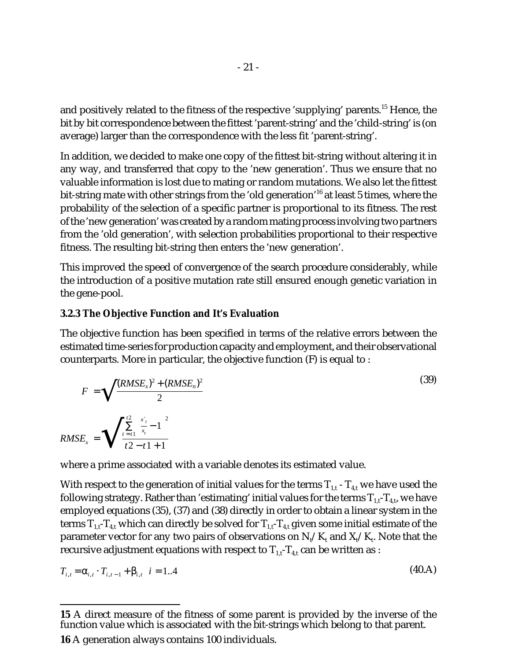and positively related to the fitness of the respective 'supplying' parents.<sup>15</sup> Hence, the bit by bit correspondence between the fittest 'parent-string' and the 'child-string' is (on average) larger than the correspondence with the less fit 'parent-string'.

In addition, we decided to make one copy of the fittest bit-string without altering it in any way, and transferred that copy to the 'new generation'. Thus we ensure that no valuable information is lost due to mating or random mutations. We also let the fittest bit-string mate with other strings from the 'old generation'<sup>16</sup> at least 5 times, where the probability of the selection of a specific partner is proportional to its fitness. The rest of the 'new generation' was created by a random mating process involving two partners from the 'old generation', with selection probabilities proportional to their respective fitness. The resulting bit-string then enters the 'new generation'.

This improved the speed of convergence of the search procedure considerably, while the introduction of a positive mutation rate still ensured enough genetic variation in the gene-pool.

### **3.2.3 The Objective Function and It's Evaluation**

The objective function has been specified in terms of the relative errors between the estimated time-series for production capacity and employment, and their observational counterparts. More in particular, the objective function (F) is equal to :

$$
F = \sqrt{\frac{(RMSE_x)^2 + (RMSE_n)^2}{2}}
$$
  
\n
$$
RMSE_x = \sqrt{\frac{\sum_{t=t}^{t2} \left(\frac{x'_t}{x_t} - 1\right)^2}{t^2 - t^2 + 1}}
$$
\n(39)

where a prime associated with a variable denotes its estimated value.

With respect to the generation of initial values for the terms  $T_{1,t}$  -  $T_{4,t}$  we have used the following strategy. Rather than 'estimating' initial values for the terms  $T_{1,t}$ - $T_{4,t}$ , we have employed equations (35), (37) and (38) directly in order to obtain a linear system in the terms  $T_{1,t} - T_{4,t}$  which can directly be solved for  $T_{1,t} - T_{4,t}$  given some initial estimate of the parameter vector for any two pairs of observations on  $\rm N_t/\rm K_t$  and  $\rm X_t/\rm K_t$ . Note that the recursive adjustment equations with respect to  $\mathbf{T}_{1,\mathsf{t}}\text{-}\mathbf{T}_{4,\mathsf{t}}$  can be written as :

$$
T_{i,t} = \alpha_{i,t} \cdot T_{i,t-1} + \beta_{i,t} \quad i = 1..4
$$
\n(40.A)

**<sup>15</sup>** A direct measure of the fitness of some parent is provided by the inverse of the function value which is associated with the bit-strings which belong to that parent.

**<sup>16</sup>** A generation always contains 100 individuals.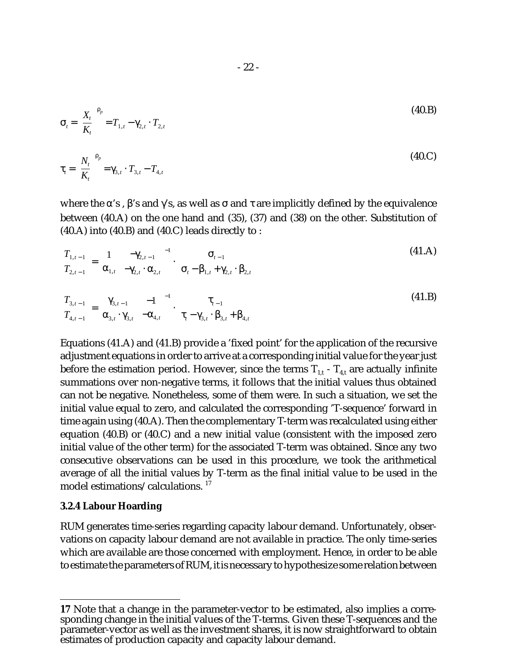$$
\sigma_{t} = \left(\frac{X_{t}}{K_{t}}\right)^{\rho_{p}} = T_{1,t} - \gamma_{2,t} \cdot T_{2,t}
$$
\n
$$
\tau_{t} = \left(\frac{N_{t}}{K_{t}}\right)^{\rho_{p}} = \gamma_{3,t} \cdot T_{3,t} - T_{4,t}
$$
\n(40.C)

where the  $\alpha$ 's ,  $\beta$ 's and  $\gamma$ 's, as well as  $\sigma$  and  $\tau$  are implicitly defined by the equivalence between (40.A) on the one hand and (35), (37) and (38) on the other. Substitution of  $(40.A)$  into  $(40.B)$  and  $(40.C)$  leads directly to :

$$
\begin{bmatrix} T_{1,t-1} \\ T_{2,t-1} \end{bmatrix} = \begin{bmatrix} 1 & -\gamma_{2,t-1} \\ \alpha_{1,t} & -\gamma_{2,t} \cdot \alpha_{2,t} \end{bmatrix}^{-1} \cdot \begin{bmatrix} \sigma_{t-1} \\ \sigma_t - \beta_{1,t} + \gamma_{2,t} \cdot \beta_{2,t} \end{bmatrix}
$$
(41.A)

$$
\begin{bmatrix} T_{3,t-1} \\ T_{4,t-1} \end{bmatrix} = \begin{bmatrix} \gamma_{3,t-1} & -1 \\ \alpha_{3,t} & \gamma_{3,t} & -\alpha_{4,t} \end{bmatrix}^{-1} \cdot \begin{bmatrix} \tau_{t-1} \\ \tau_t - \gamma_{3,t} & \beta_{3,t} + \beta_{4,t} \end{bmatrix}
$$
(41.8)

Equations (41.A) and (41.B) provide a 'fixed point' for the application of the recursive adjustment equations in order to arrive at a corresponding initial value for the year just before the estimation period. However, since the terms  $T_{1,t}$  -  $T_{4,t}$  are actually infinite summations over non-negative terms, it follows that the initial values thus obtained can not be negative. Nonetheless, some of them were. In such a situation, we set the initial value equal to zero, and calculated the corresponding 'T-sequence' forward in time again using (40.A). Then the complementary T-term was recalculated using either equation (40.B) or (40.C) and a new initial value (consistent with the imposed zero initial value of the other term) for the associated T-term was obtained. Since any two consecutive observations can be used in this procedure, we took the arithmetical average of all the initial values by T-term as the final initial value to be used in the model estimations/calculations.  $17$ 

#### **3.2.4 Labour Hoarding**

RUM generates time-series regarding capacity labour demand. Unfortunately, observations on capacity labour demand are not available in practice. The only time-series which are available are those concerned with employment. Hence, in order to be able to estimate the parameters of RUM, itis necessary to hypothesize some relation between

**<sup>17</sup>** Note that a change in the parameter-vector to be estimated, also implies a corresponding change in the initial values of the T-terms. Given these T-sequences and the parameter-vector as well as the investment shares, it is now straightforward to obtain estimates of production capacity and capacity labour demand.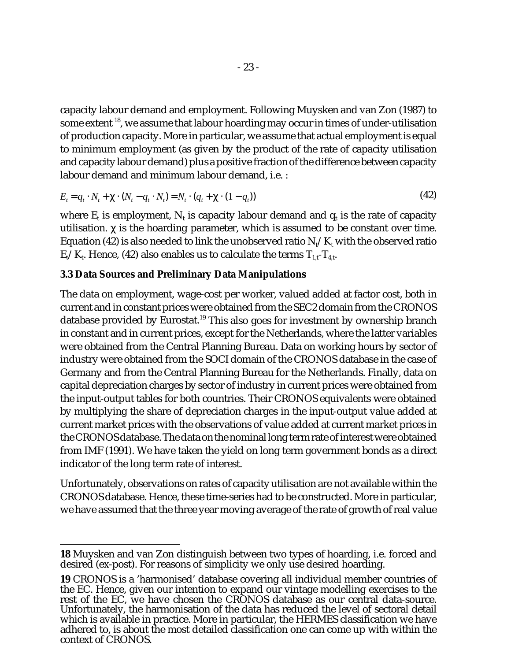capacity labour demand and employment. Following Muysken and van Zon (1987) to some extent <sup>18</sup>, we assume that labour hoarding may occur in times of under-utilisation of production capacity. More in particular, we assume that actual employment is equal to minimum employment (as given by the product of the rate of capacity utilisation and capacity labour demand) plus a positive fraction of the difference between capacity labour demand and minimum labour demand, i.e. :

$$
E_{t} = q_{t} \cdot N_{t} + \chi \cdot (N_{t} - q_{t} \cdot N_{t}) = N_{t} \cdot (q_{t} + \chi \cdot (1 - q_{t}))
$$
\n(42)

where  $E_t$  is employment,  $N_t$  is capacity labour demand and  $q_t$  is the rate of capacity utilisation.  $\chi$  is the hoarding parameter, which is assumed to be constant over time. Equation (42) is also needed to link the unobserved ratio  $\rm N_t/\rm K_t$  with the observed ratio  $\rm E_t/\rm K_t$ . Hence, (42) also enables us to calculate the terms  $\rm T_{1,t^-}T_{4,t^-}$ 

#### **3.3 Data Sources and Preliminary Data Manipulations**

The data on employment, wage-cost per worker, valued added at factor cost, both in current and in constant prices were obtained from the SEC2 domain from the CRONOS database provided by Eurostat.<sup>19</sup> This also goes for investment by ownership branch in constant and in current prices, except for the Netherlands, where the latter variables were obtained from the Central Planning Bureau. Data on working hours by sector of industry were obtained from the SOCI domain of the CRONOS database in the case of Germany and from the Central Planning Bureau for the Netherlands. Finally, data on capital depreciation charges by sector of industry in current prices were obtained from the input-output tables for both countries. Their CRONOS equivalents were obtained by multiplying the share of depreciation charges in the input-output value added at current market prices with the observations of value added at current market prices in the CRONOS database. The data on the nominal long term rate of interest were obtained from IMF (1991). We have taken the yield on long term government bonds as a direct indicator of the long term rate of interest.

Unfortunately, observations on rates of capacity utilisation are not available within the CRONOS database. Hence, these time-series had to be constructed. More in particular, we have assumed that the three year moving average of the rate of growth of real value

**<sup>18</sup>** Muysken and van Zon distinguish between two types of hoarding, i.e. forced and desired (ex-post). For reasons of simplicity we only use desired hoarding.

**<sup>19</sup>** CRONOS is a 'harmonised' database covering all individual member countries of the EC. Hence, given our intention to expand our vintage modelling exercises to the rest of the EC, we have chosen the CRONOS database as our central data-source. Unfortunately, the harmonisation of the data has reduced the level of sectoral detail which is available in practice. More in particular, the HERMES classification we have adhered to, is about the most detailed classification one can come up with within the context of CRONOS.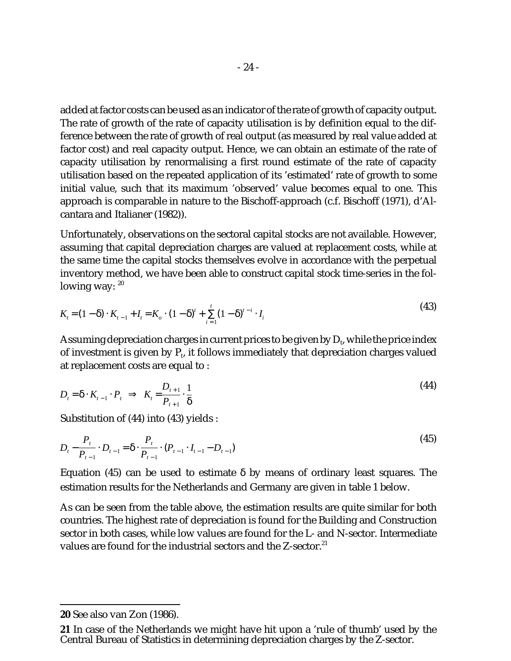added at factor costs can be used as an indicator of the rate of growth of capacity output. The rate of growth of the rate of capacity utilisation is by definition equal to the difference between the rate of growth of real output (as measured by real value added at factor cost) and real capacity output. Hence, we can obtain an estimate of the rate of capacity utilisation by renormalising a first round estimate of the rate of capacity utilisation based on the repeated application of its 'estimated' rate of growth to some initial value, such that its maximum 'observed' value becomes equal to one. This approach is comparable in nature to the Bischoff-approach (c.f. Bischoff (1971), d'Alcantara and Italianer (1982)).

Unfortunately, observations on the sectoral capital stocks are not available. However, assuming that capital depreciation charges are valued at replacement costs, while at the same time the capital stocks themselves evolve in accordance with the perpetual inventory method, we have been able to construct capital stock time-series in the following way:  $20$ 

$$
K_{t} = (1 - \delta) \cdot K_{t-1} + I_{t} = K_{o} \cdot (1 - \delta)^{t} + \sum_{i=1}^{t} (1 - \delta)^{t-i} \cdot I_{i}
$$
\n(43)

Assuming depreciation charges in current prices to be given by  $D_t$ , while the price index of investment is given by  $P_t$ , it follows immediately that depreciation charges valued at replacement costs are equal to :

$$
D_{t} = \delta \cdot K_{t-1} \cdot P_{t} \implies K_{t} = \frac{D_{t+1}}{P_{t+1}} \cdot \frac{1}{\delta}
$$
\n
$$
(44)
$$

Substitution of (44) into (43) yields :

$$
D_{t} - \frac{P_{t}}{P_{t-1}} \cdot D_{t-1} = \delta \cdot \frac{P_{t}}{P_{t-1}} \cdot (P_{t-1} \cdot I_{t-1} - D_{t-1})
$$
\n(45)

Equation (45) can be used to estimate  $\delta$  by means of ordinary least squares. The estimation results for the Netherlands and Germany are given in table 1 below.

As can be seen from the table above, the estimation results are quite similar for both countries. The highest rate of depreciation is found for the Building and Construction sector in both cases, while low values are found for the L- and N-sector. Intermediate values are found for the industrial sectors and the  $Z$ -sector.<sup>21</sup>

**<sup>20</sup>** See also van Zon (1986).

**<sup>21</sup>** In case of the Netherlands we might have hit upon a 'rule of thumb' used by the Central Bureau of Statistics in determining depreciation charges by the Z-sector.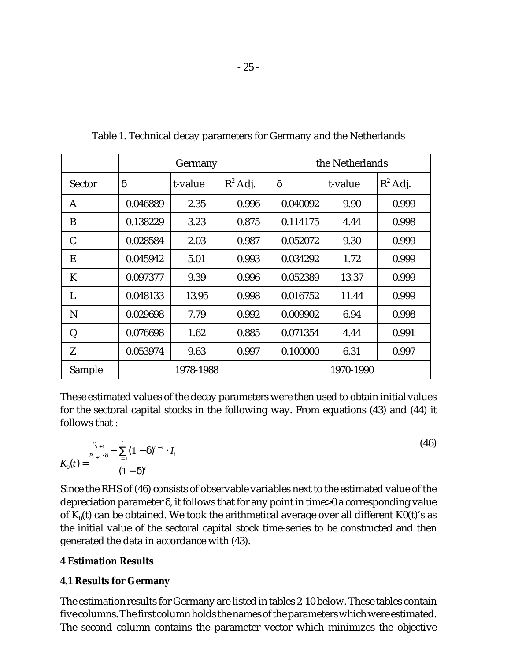|               | Germany  |           |            | the Netherlands |         |            |
|---------------|----------|-----------|------------|-----------------|---------|------------|
| <b>Sector</b> | $\delta$ | t-value   | $R^2$ Adj. | $\delta$        | t-value | $R^2$ Adj. |
| A             | 0.046889 | 2.35      | 0.996      | 0.040092        | 9.90    | 0.999      |
| B             | 0.138229 | 3.23      | 0.875      | 0.114175        | 4.44    | 0.998      |
| $\mathcal{C}$ | 0.028584 | 2.03      | 0.987      | 0.052072        | 9.30    | 0.999      |
| E             | 0.045942 | 5.01      | 0.993      | 0.034292        | 1.72    | 0.999      |
| K             | 0.097377 | 9.39      | 0.996      | 0.052389        | 13.37   | 0.999      |
| L             | 0.048133 | 13.95     | 0.998      | 0.016752        | 11.44   | 0.999      |
| N             | 0.029698 | 7.79      | 0.992      | 0.009902        | 6.94    | 0.998      |
| Q             | 0.076698 | 1.62      | 0.885      | 0.071354        | 4.44    | 0.991      |
| Z             | 0.053974 | 9.63      | 0.997      | 0.100000        | 6.31    | 0.997      |
| Sample        |          | 1978-1988 |            | 1970-1990       |         |            |

Table 1. Technical decay parameters for Germany and the Netherlands

These estimated values of the decay parameters were then used to obtain initial values for the sectoral capital stocks in the following way. From equations (43) and (44) it follows that :

$$
K_0(t) = \frac{\frac{D_{t+1}}{P_{t+1} \cdot \delta} - \sum_{i=1}^t (1 - \delta)^{t-i} \cdot I_i}{(1 - \delta)^t}
$$
(46)

Since the RHS of (46) consists of observable variables next to the estimated value of the depreciation parameter  $\delta$ , it follows that for any point in time>0 a corresponding value of  $K_0(t)$  can be obtained. We took the arithmetical average over all different K0(t)'s as the initial value of the sectoral capital stock time-series to be constructed and then generated the data in accordance with (43).

### **4 Estimation Results**

### **4.1 Results for Germany**

The estimation results for Germany are listed in tables 2-10 below. These tables contain five columns. The first column holds the names of the parameters which were estimated. The second column contains the parameter vector which minimizes the objective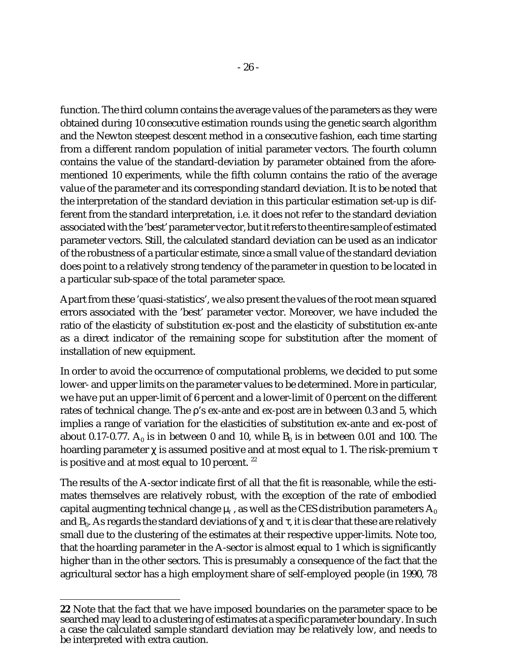function. The third column contains the average values of the parameters as they were obtained during 10 consecutive estimation rounds using the genetic search algorithm and the Newton steepest descent method in a consecutive fashion, each time starting from a different random population of initial parameter vectors. The fourth column contains the value of the standard-deviation by parameter obtained from the aforementioned 10 experiments, while the fifth column contains the ratio of the average value of the parameter and its corresponding standard deviation. It is to be noted that the interpretation of the standard deviation in this particular estimation set-up is different from the standard interpretation, i.e. it does not refer to the standard deviation associated with the 'best'parameter vector, but it refers to the entire sample of estimated parameter vectors. Still, the calculated standard deviation can be used as an indicator of the robustness of a particular estimate, since a small value of the standard deviation does point to a relatively strong tendency of the parameter in question to be located in a particular sub-space of the total parameter space.

Apart from these 'quasi-statistics', we also present the values of the root mean squared errors associated with the 'best' parameter vector. Moreover, we have included the ratio of the elasticity of substitution ex-post and the elasticity of substitution ex-ante as a direct indicator of the remaining scope for substitution after the moment of installation of new equipment.

In order to avoid the occurrence of computational problems, we decided to put some lower- and upper limits on the parameter values to be determined. More in particular, we have put an upper-limit of 6 percent and a lower-limit of 0 percent on the different rates of technical change. The  $\rho$ 's ex-ante and ex-post are in between 0.3 and 5, which implies a range of variation for the elasticities of substitution ex-ante and ex-post of about 0.17-0.77.  $A_0$  is in between 0 and 10, while  $B_0$  is in between 0.01 and 100. The hoarding parameter  $\chi$  is assumed positive and at most equal to 1. The risk-premium  $\tau$ is positive and at most equal to 10 percent.  $22$ 

The results of the A-sector indicate first of all that the fit is reasonable, while the estimates themselves are relatively robust, with the exception of the rate of embodied capital augmenting technical change  $\mu_{\scriptscriptstyle I}$  , as well as the CES distribution parameters  ${\rm A_0}$ and  $\mathtt{B}_0$ . As regards the standard deviations of  $\chi$  and  $\tau$ , it is clear that these are relatively small due to the clustering of the estimates at their respective upper-limits. Note too, that the hoarding parameter in the A-sector is almost equal to 1 which is significantly higher than in the other sectors. This is presumably a consequence of the fact that the agricultural sector has a high employment share of self-employed people (in 1990, 78

**<sup>22</sup>** Note that the fact that we have imposed boundaries on the parameter space to be searched may lead to a clustering of estimates at a specific parameter boundary. In such a case the calculated sample standard deviation may be relatively low, and needs to be interpreted with extra caution.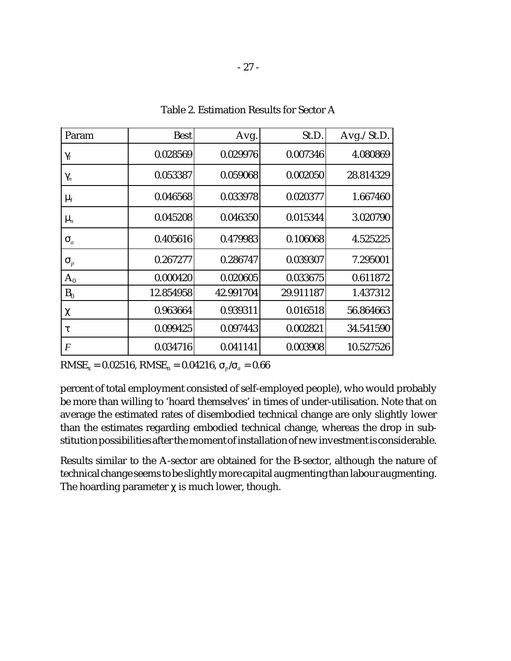| Param          | <b>Best</b> | Avg.      | St.D.     | Avg./St.D. |
|----------------|-------------|-----------|-----------|------------|
| $\gamma_I$     | 0.028569    | 0.029976  | 0.007346  | 4.080869   |
| $\gamma_n$     | 0.053387    | 0.059068  | 0.002050  | 28.814329  |
| $\mu_I$        | 0.046568    | 0.033978  | 0.020377  | 1.667460   |
| $\mu_n$        | 0.045208    | 0.046350  | 0.015344  | 3.020790   |
| $\sigma_a$     | 0.405616    | 0.479983  | 0.106068  | 4.525225   |
| $\sigma_{p}$   | 0.267277    | 0.286747  | 0.039307  | 7.295001   |
| $A_0$          | 0.000420    | 0.020605  | 0.033675  | 0.611872   |
| $B_0$          | 12.854958   | 42.991704 | 29.911187 | 1.437312   |
| χ              | 0.963664    | 0.939311  | 0.016518  | 56.864663  |
| τ              | 0.099425    | 0.097443  | 0.002821  | 34.541590  |
| $\overline{F}$ | 0.034716    | 0.041141  | 0.003908  | 10.527526  |

Table 2. Estimation Results for Sector A

 $RMSE_x = 0.02516$ ,  $RMSE_n = 0.04216$ ,  $\sigma_p/\sigma_a = 0.66$ 

percent of total employment consisted of self-employed people), who would probably be more than willing to 'hoard themselves' in times of under-utilisation. Note that on average the estimated rates of disembodied technical change are only slightly lower than the estimates regarding embodied technical change, whereas the drop in substitution possibilities after the momentof installation ofnew investmentis considerable.

Results similar to the A-sector are obtained for the B-sector, although the nature of technical change seems to be slightly more capital augmenting than labour augmenting. The hoarding parameter  $\chi$  is much lower, though.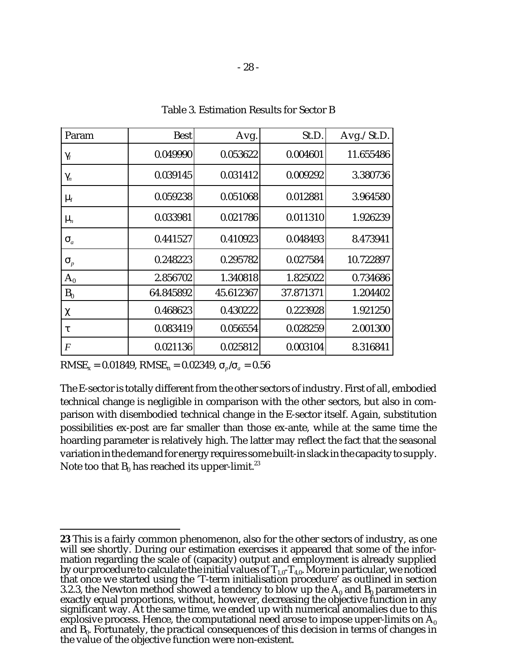| Param                           | <b>Best</b> | Avg.      | St.D.     | Avg./St.D. |
|---------------------------------|-------------|-----------|-----------|------------|
| $\gamma_{\scriptscriptstyle I}$ | 0.049990    | 0.053622  | 0.004601  | 11.655486  |
| $\gamma_n$                      | 0.039145    | 0.031412  | 0.009292  | 3.380736   |
| $\mu_I$                         | 0.059238    | 0.051068  | 0.012881  | 3.964580   |
| $\mu_n$                         | 0.033981    | 0.021786  | 0.011310  | 1.926239   |
| $\sigma_a$                      | 0.441527    | 0.410923  | 0.048493  | 8.473941   |
| $\sigma_{p}$                    | 0.248223    | 0.295782  | 0.027584  | 10.722897  |
| $A_0$                           | 2.856702    | 1.340818  | 1.825022  | 0.734686   |
| $B_0$                           | 64.845892   | 45.612367 | 37.871371 | 1.204402   |
| χ                               | 0.468623    | 0.430222  | 0.223928  | 1.921250   |
| τ                               | 0.083419    | 0.056554  | 0.028259  | 2.001300   |
| $\overline{F}$                  | 0.021136    | 0.025812  | 0.003104  | 8.316841   |

Table 3. Estimation Results for Sector B

 $RMSE_x = 0.01849$ ,  $RMSE_n = 0.02349$ ,  $\sigma_p/\sigma_a = 0.56$ 

The E-sector is totally different from the other sectors of industry. First of all, embodied technical change is negligible in comparison with the other sectors, but also in comparison with disembodied technical change in the E-sector itself. Again, substitution possibilities ex-post are far smaller than those ex-ante, while at the same time the hoarding parameter is relatively high. The latter may reflect the fact that the seasonal variationin the demandfor energy requires some built-in slack in the capacityto supply. Note too that  $B_0$  has reached its upper-limit.<sup>23</sup>

**<sup>23</sup>** This is a fairly common phenomenon, also for the other sectors of industry, as one will see shortly. During our estimation exercises it appeared that some of the information regarding the scale of (capacity) output and employment is already supplied by our procedure to calculate the initial values of  $\rm T_{1,0}$   $\rm T_{4,0}$ . More in particular, we noticed that once we started using the 'T-term initialisation procedure' as outlined in section 3.2.3, the Newton method showed a tendency to blow up the  $\mathrm{A}_0$  and  $\mathrm{B}_0$  parameters in exactly equal proportions, without, however, decreasing the objective function in any significant way. At the same time, we ended up with numerical anomalies due to this explosive process. Hence, the computational need arose to impose upper-limits on  $A_0$ and  $B_0$ . Fortunately, the practical consequences of this decision in terms of changes in the value of the objective function were non-existent.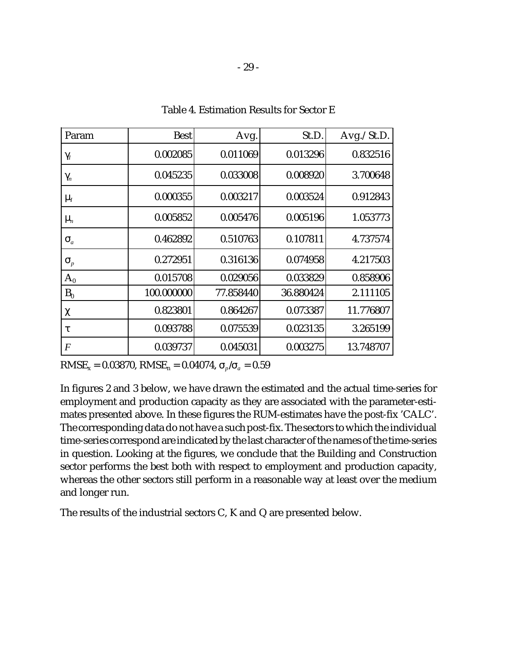| Param                           | <b>Best</b> | Avg.      | St.D.     | Avg./St.D. |
|---------------------------------|-------------|-----------|-----------|------------|
| $\gamma_{I}$                    | 0.002085    | 0.011069  | 0.013296  | 0.832516   |
| $\gamma_n$                      | 0.045235    | 0.033008  | 0.008920  | 3.700648   |
| $\mu_I$                         | 0.000355    | 0.003217  | 0.003524  | 0.912843   |
| $\mu_n$                         | 0.005852    | 0.005476  | 0.005196  | 1.053773   |
| $\sigma_a$                      | 0.462892    | 0.510763  | 0.107811  | 4.737574   |
| $\sigma_{\scriptscriptstyle p}$ | 0.272951    | 0.316136  | 0.074958  | 4.217503   |
| $A_0$                           | 0.015708    | 0.029056  | 0.033829  | 0.858906   |
| $B_0$                           | 100.000000  | 77.858440 | 36.880424 | 2.111105   |
| χ                               | 0.823801    | 0.864267  | 0.073387  | 11.776807  |
| τ                               | 0.093788    | 0.075539  | 0.023135  | 3.265199   |
| $\overline{F}$                  | 0.039737    | 0.045031  | 0.003275  | 13.748707  |

Table 4. Estimation Results for Sector E

 $RMSE_x = 0.03870$ ,  $RMSE_n = 0.04074$ ,  $\sigma_p/\sigma_a = 0.59$ 

In figures 2 and 3 below, we have drawn the estimated and the actual time-series for employment and production capacity as they are associated with the parameter-estimates presented above. In these figures the RUM-estimates have the post-fix 'CALC'. The corresponding data do not have a such post-fix. The sectors to which the individual time-series correspond are indicated by the last character of the names of the time-series in question. Looking at the figures, we conclude that the Building and Construction sector performs the best both with respect to employment and production capacity, whereas the other sectors still perform in a reasonable way at least over the medium and longer run.

The results of the industrial sectors C, K and Q are presented below.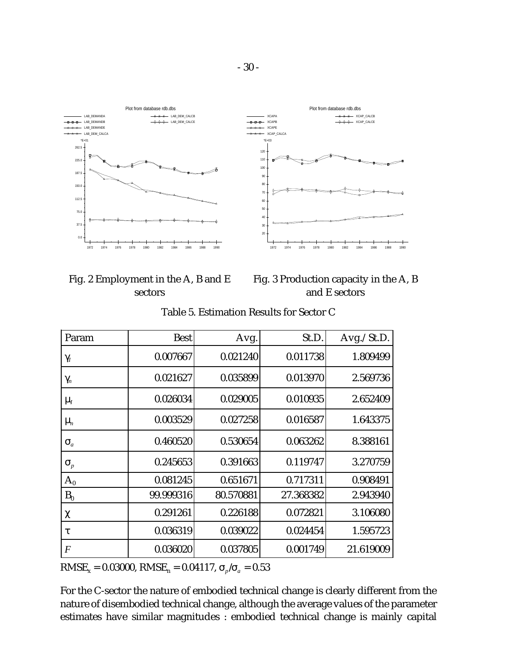

| Fig. 2 Employment in the A, B and E |
|-------------------------------------|
| sectors                             |

Fig. 3 Production capacity in the A, B and E sectors

| Param        | <b>Best</b> | Avg.      | St.D.     | Avg./St.D. |
|--------------|-------------|-----------|-----------|------------|
| $\gamma_I$   | 0.007667    | 0.021240  | 0.011738  | 1.809499   |
| $\gamma_n$   | 0.021627    | 0.035899  | 0.013970  | 2.569736   |
| $\mu_I$      | 0.026034    | 0.029005  | 0.010935  | 2.652409   |
| $\mu_n$      | 0.003529    | 0.027258  | 0.016587  | 1.643375   |
| $\sigma_a$   | 0.460520    | 0.530654  | 0.063262  | 8.388161   |
| $\sigma_{p}$ | 0.245653    | 0.391663  | 0.119747  | 3.270759   |
| $A_0$        | 0.081245    | 0.651671  | 0.717311  | 0.908491   |
| $B_0$        | 99.999316   | 80.570881 | 27.368382 | 2.943940   |
| $\chi$       | 0.291261    | 0.226188  | 0.072821  | 3.106080   |
| τ            | 0.036319    | 0.039022  | 0.024454  | 1.595723   |
| $\bm{F}$     | 0.036020    | 0.037805  | 0.001749  | 21.619009  |

Table 5. Estimation Results for Sector C

 $RMSE_x = 0.03000$ ,  $RMSE_n = 0.04117$ ,  $\sigma_p/\sigma_a = 0.53$ 

For the C-sector the nature of embodied technical change is clearly different from the nature of disembodied technical change, although the average values of the parameter estimates have similar magnitudes : embodied technical change is mainly capital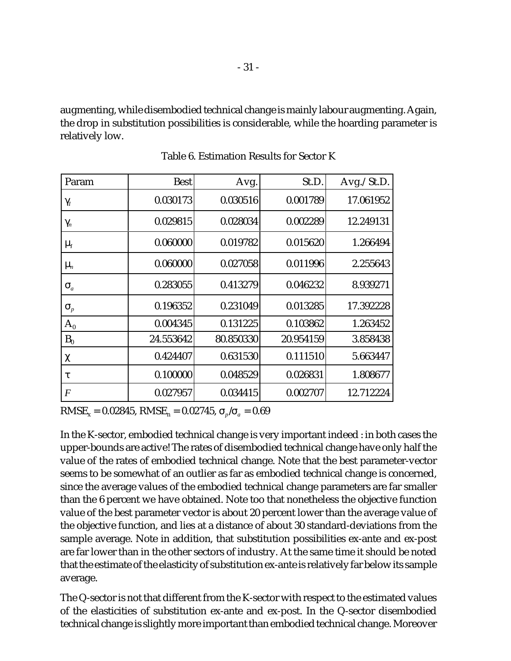augmenting, while disembodied technical change is mainly labour augmenting. Again, the drop in substitution possibilities is considerable, while the hoarding parameter is relatively low.

| Param                           | <b>Best</b> | Avg.      | St.D.     | Avg./St.D. |
|---------------------------------|-------------|-----------|-----------|------------|
| $\gamma_{I}$                    | 0.030173    | 0.030516  | 0.001789  | 17.061952  |
| $\gamma_n$                      | 0.029815    | 0.028034  | 0.002289  | 12.249131  |
| $\mu_I$                         | 0.060000    | 0.019782  | 0.015620  | 1.266494   |
| $\mu_n$                         | 0.060000    | 0.027058  | 0.011996  | 2.255643   |
| $\sigma_a$                      | 0.283055    | 0.413279  | 0.046232  | 8.939271   |
| $\sigma_{\scriptscriptstyle p}$ | 0.196352    | 0.231049  | 0.013285  | 17.392228  |
| $A_0$                           | 0.004345    | 0.131225  | 0.103862  | 1.263452   |
| $B_0$                           | 24.553642   | 80.850330 | 20.954159 | 3.858438   |
| χ                               | 0.424407    | 0.631530  | 0.111510  | 5.663447   |
| τ                               | 0.100000    | 0.048529  | 0.026831  | 1.808677   |
| $\overline{F}$                  | 0.027957    | 0.034415  | 0.002707  | 12.712224  |

Table 6. Estimation Results for Sector K

 $RMSE_x = 0.02845$ ,  $RMSE_n = 0.02745$ ,  $\sigma_p/\sigma_a = 0.69$ 

In the K-sector, embodied technical change is very important indeed : in both cases the upper-bounds are active! The rates of disembodied technical change have only half the value of the rates of embodied technical change. Note that the best parameter-vector seems to be somewhat of an outlier as far as embodied technical change is concerned, since the average values of the embodied technical change parameters are far smaller than the 6 percent we have obtained. Note too that nonetheless the objective function value of the best parameter vector is about 20 percent lower than the average value of the objective function, and lies at a distance of about 30 standard-deviations from the sample average. Note in addition, that substitution possibilities ex-ante and ex-post are far lower than in the other sectors of industry. At the same time it should be noted that the estimate of the elasticity of substitution ex-ante is relatively far below its sample average.

The Q-sector is not that different from the K-sector with respect to the estimated values of the elasticities of substitution ex-ante and ex-post. In the Q-sector disembodied technical change is slightly more important than embodied technical change. Moreover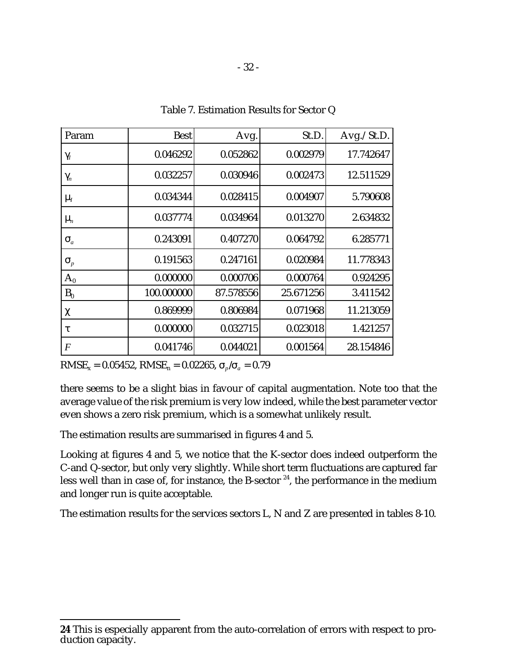| Param                           | <b>Best</b> | Avg.      | St.D.     | Avg./St.D. |
|---------------------------------|-------------|-----------|-----------|------------|
| $\gamma_{\scriptscriptstyle I}$ | 0.046292    | 0.052862  | 0.002979  | 17.742647  |
| $\gamma_n$                      | 0.032257    | 0.030946  | 0.002473  | 12.511529  |
| $\mu_I$                         | 0.034344    | 0.028415  | 0.004907  | 5.790608   |
| $\mu_n$                         | 0.037774    | 0.034964  | 0.013270  | 2.634832   |
| $\sigma_a$                      | 0.243091    | 0.407270  | 0.064792  | 6.285771   |
| $\sigma_{p}$                    | 0.191563    | 0.247161  | 0.020984  | 11.778343  |
| $A_0$                           | 0.000000    | 0.000706  | 0.000764  | 0.924295   |
| $B_0$                           | 100.000000  | 87.578556 | 25.671256 | 3.411542   |
| χ                               | 0.869999    | 0.806984  | 0.071968  | 11.213059  |
| τ                               | 0.000000    | 0.032715  | 0.023018  | 1.421257   |
| $\overline{F}$                  | 0.041746    | 0.044021  | 0.001564  | 28.154846  |

Table 7. Estimation Results for Sector Q

 $RMSE_x = 0.05452$ ,  $RMSE_n = 0.02265$ ,  $\sigma_p/\sigma_a = 0.79$ 

there seems to be a slight bias in favour of capital augmentation. Note too that the average value of the risk premium is very low indeed, while the best parameter vector even shows a zero risk premium, which is a somewhat unlikely result.

The estimation results are summarised in figures 4 and 5.

Looking at figures 4 and 5, we notice that the K-sector does indeed outperform the C-and Q-sector, but only very slightly. While short term fluctuations are captured far less well than in case of, for instance, the B-sector  $24$ , the performance in the medium and longer run is quite acceptable.

The estimation results for the services sectors L, N and Z are presented in tables 8-10.

**<sup>24</sup>** This is especially apparent from the auto-correlation of errors with respect to production capacity.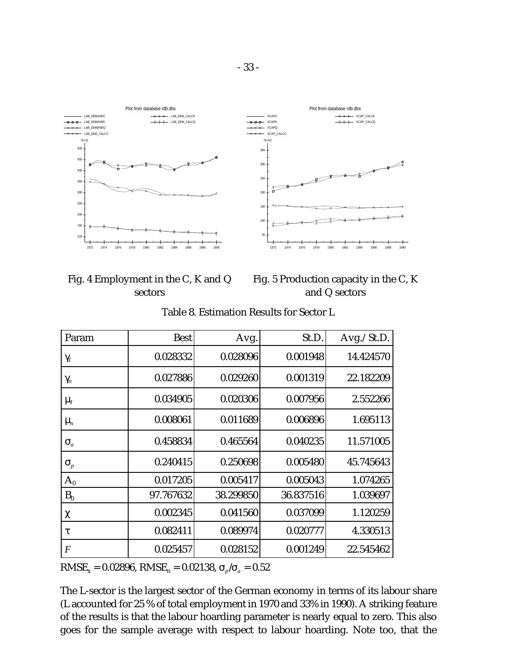

| Fig. 4 Employment in the C, K and Q |
|-------------------------------------|
| sectors                             |

Fig. 5 Production capacity in the C, K sectors and Q sectors

| Param            | <b>Best</b> | Avg.      | St.D.     | Avg./St.D. |
|------------------|-------------|-----------|-----------|------------|
| $\gamma_I$       | 0.028332    | 0.028096  | 0.001948  | 14.424570  |
| $\gamma_n$       | 0.027886    | 0.029260  | 0.001319  | 22.182209  |
| $\mu_I$          | 0.034905    | 0.020306  | 0.007956  | 2.552266   |
| $\mu_n$          | 0.008061    | 0.011689  | 0.006896  | 1.695113   |
| $\sigma_a$       | 0.458834    | 0.465564  | 0.040235  | 11.571005  |
| $\sigma_{p}$     | 0.240415    | 0.250698  | 0.005480  | 45.745643  |
| $A_0$            | 0.017205    | 0.005417  | 0.005043  | 1.074265   |
| $B_0$            | 97.767632   | 38.299850 | 36.837516 | 1.039697   |
| $\chi$           | 0.002345    | 0.041560  | 0.037099  | 1.120259   |
| τ                | 0.082411    | 0.089974  | 0.020777  | 4.330513   |
| $\boldsymbol{F}$ | 0.025457    | 0.028152  | 0.001249  | 22.545462  |

Table 8. Estimation Results for Sector L

 $RMSE_x = 0.02896$ ,  $RMSE_n = 0.02138$ ,  $\sigma_p/\sigma_a = 0.52$ 

The L-sector is the largest sector of the German economy in terms of its labour share (L accounted for 25 % of total employment in 1970 and 33% in 1990). A striking feature of the results is that the labour hoarding parameter is nearly equal to zero. This also goes for the sample average with respect to labour hoarding. Note too, that the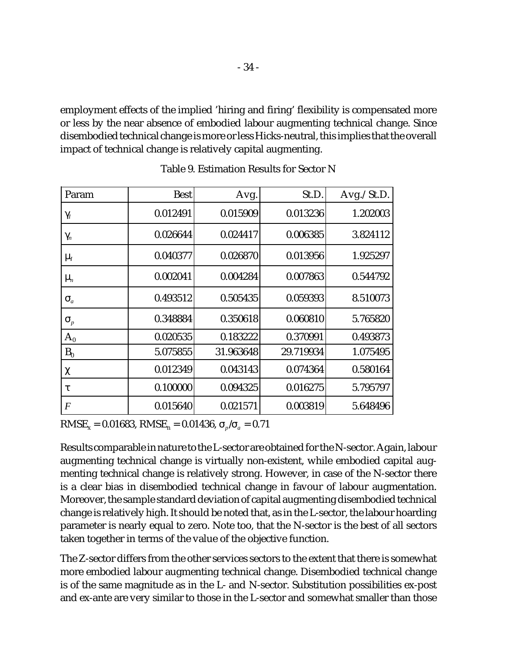employment effects of the implied 'hiring and firing' flexibility is compensated more or less by the near absence of embodied labour augmenting technical change. Since disembodied technical change is more or less Hicks-neutral, this implies that the overall impact of technical change is relatively capital augmenting.

| Param                           | <b>Best</b> | Avg.      | St.D.     | Avg./St.D. |
|---------------------------------|-------------|-----------|-----------|------------|
| $\gamma_I$                      | 0.012491    | 0.015909  | 0.013236  | 1.202003   |
| $\gamma_{\scriptscriptstyle n}$ | 0.026644    | 0.024417  | 0.006385  | 3.824112   |
| $\mu_I$                         | 0.040377    | 0.026870  | 0.013956  | 1.925297   |
| $\mu_{n}$                       | 0.002041    | 0.004284  | 0.007863  | 0.544792   |
| $\sigma_a$                      | 0.493512    | 0.505435  | 0.059393  | 8.510073   |
| $\sigma_{p}$                    | 0.348884    | 0.350618  | 0.060810  | 5.765820   |
| $A_0$                           | 0.020535    | 0.183222  | 0.370991  | 0.493873   |
| $B_0$                           | 5.075855    | 31.963648 | 29.719934 | 1.075495   |
| χ                               | 0.012349    | 0.043143  | 0.074364  | 0.580164   |
| τ                               | 0.100000    | 0.094325  | 0.016275  | 5.795797   |
| F                               | 0.015640    | 0.021571  | 0.003819  | 5.648496   |

Table 9. Estimation Results for Sector N

 $RMSE_x = 0.01683$ ,  $RMSE_n = 0.01436$ ,  $\sigma_p/\sigma_a = 0.71$ 

Results comparable in nature to the L-sector are obtained for the N-sector. Again, labour augmenting technical change is virtually non-existent, while embodied capital augmenting technical change is relatively strong. However, in case of the N-sector there is a clear bias in disembodied technical change in favour of labour augmentation. Moreover, the sample standard deviation of capital augmenting disembodied technical change is relatively high. It should be noted that, as in the L-sector, the labour hoarding parameter is nearly equal to zero. Note too, that the N-sector is the best of all sectors taken together in terms of the value of the objective function.

The Z-sector differs from the other services sectors to the extent that there is somewhat more embodied labour augmenting technical change. Disembodied technical change is of the same magnitude as in the L- and N-sector. Substitution possibilities ex-post and ex-ante are very similar to those in the L-sector and somewhat smaller than those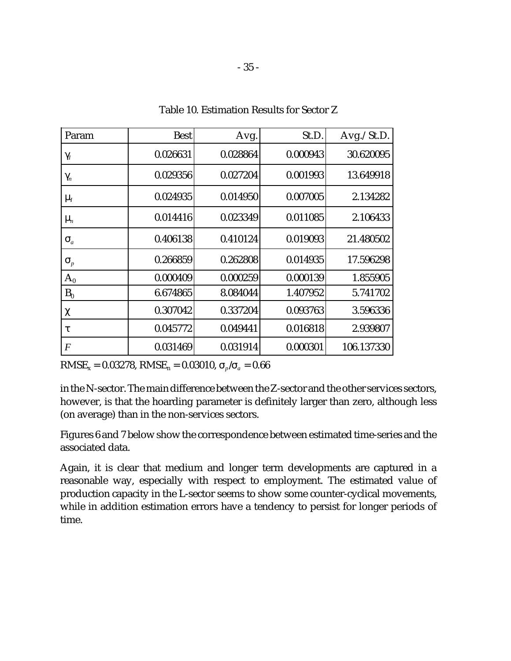| Param            | <b>Best</b> | Avg.     | St.D.    | Avg./St.D. |
|------------------|-------------|----------|----------|------------|
| $\gamma_I$       | 0.026631    | 0.028864 | 0.000943 | 30.620095  |
| $\gamma_n$       | 0.029356    | 0.027204 | 0.001993 | 13.649918  |
| $\mu_I$          | 0.024935    | 0.014950 | 0.007005 | 2.134282   |
| $\mu_n$          | 0.014416    | 0.023349 | 0.011085 | 2.106433   |
| $\sigma_a$       | 0.406138    | 0.410124 | 0.019093 | 21.480502  |
| $\sigma_{p}$     | 0.266859    | 0.262808 | 0.014935 | 17.596298  |
| $A_0$            | 0.000409    | 0.000259 | 0.000139 | 1.855905   |
| $B_0$            | 6.674865    | 8.084044 | 1.407952 | 5.741702   |
| $\chi$           | 0.307042    | 0.337204 | 0.093763 | 3.596336   |
| τ                | 0.045772    | 0.049441 | 0.016818 | 2.939807   |
| $\boldsymbol{F}$ | 0.031469    | 0.031914 | 0.000301 | 106.137330 |

Table 10. Estimation Results for Sector Z

 $RMSE_x = 0.03278$ ,  $RMSE_n = 0.03010$ ,  $\sigma_p/\sigma_a = 0.66$ 

in the N-sector. The main difference between the Z-sector and the other services sectors, however, is that the hoarding parameter is definitely larger than zero, although less (on average) than in the non-services sectors.

Figures 6 and 7 below show the correspondence between estimated time-series and the associated data.

Again, it is clear that medium and longer term developments are captured in a reasonable way, especially with respect to employment. The estimated value of production capacity in the L-sector seems to show some counter-cyclical movements, while in addition estimation errors have a tendency to persist for longer periods of time.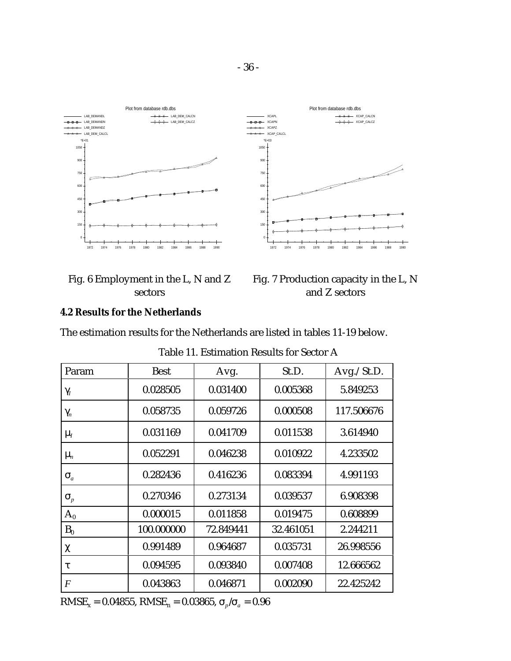

| Fig. 6 Employment in the L, N and Z |
|-------------------------------------|
| <b>sectors</b>                      |

Fig. 7 Production capacity in the L, N and Z sectors

## **4.2 Results for the Netherlands**

The estimation results for the Netherlands are listed in tables 11-19 below.

| Param          | <b>Best</b> | Avg.      | St.D.     | Avg./St.D. |
|----------------|-------------|-----------|-----------|------------|
| $\gamma_I$     | 0.028505    | 0.031400  | 0.005368  | 5.849253   |
| $\gamma_n$     | 0.058735    | 0.059726  | 0.000508  | 117.506676 |
| $\mu_I$        | 0.031169    | 0.041709  | 0.011538  | 3.614940   |
| $\mu_n$        | 0.052291    | 0.046238  | 0.010922  | 4.233502   |
| $\sigma_a$     | 0.282436    | 0.416236  | 0.083394  | 4.991193   |
| $\sigma_{p}$   | 0.270346    | 0.273134  | 0.039537  | 6.908398   |
| $A_0$          | 0.000015    | 0.011858  | 0.019475  | 0.608899   |
| $B_0$          | 100.000000  | 72.849441 | 32.461051 | 2.244211   |
| $\chi$         | 0.991489    | 0.964687  | 0.035731  | 26.998556  |
| τ              | 0.094595    | 0.093840  | 0.007408  | 12.666562  |
| $\overline{F}$ | 0.043863    | 0.046871  | 0.002090  | 22.425242  |

 $RMSE_x = 0.04855$ ,  $RMSE_n = 0.03865$ ,  $\sigma_p/\sigma_a = 0.96$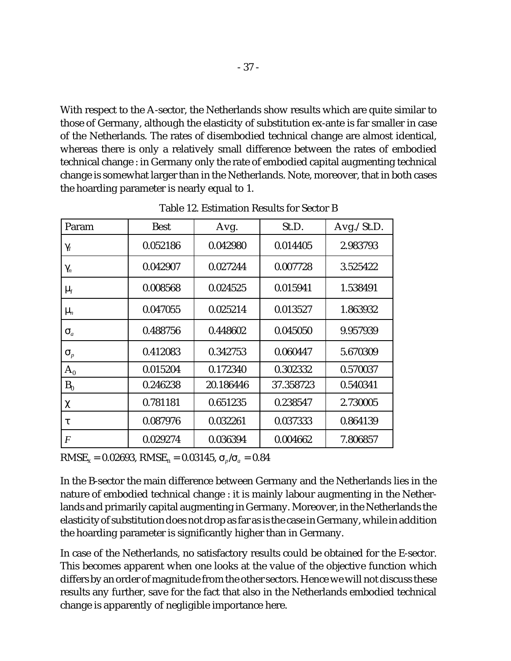With respect to the A-sector, the Netherlands show results which are quite similar to those of Germany, although the elasticity of substitution ex-ante is far smaller in case of the Netherlands. The rates of disembodied technical change are almost identical, whereas there is only a relatively small difference between the rates of embodied technical change : in Germany only the rate of embodied capital augmenting technical change is somewhat larger than in the Netherlands. Note, moreover, that in both cases the hoarding parameter is nearly equal to 1.

| Param                           | <b>Best</b> | Avg.      | St.D.     | Avg./St.D. |
|---------------------------------|-------------|-----------|-----------|------------|
| $\gamma_{I}$                    | 0.052186    | 0.042980  | 0.014405  | 2.983793   |
| $\gamma_n$                      | 0.042907    | 0.027244  | 0.007728  | 3.525422   |
| $\mu_I$                         | 0.008568    | 0.024525  | 0.015941  | 1.538491   |
| $\mu_n$                         | 0.047055    | 0.025214  | 0.013527  | 1.863932   |
| $\sigma_a$                      | 0.488756    | 0.448602  | 0.045050  | 9.957939   |
| $\sigma_{\scriptscriptstyle p}$ | 0.412083    | 0.342753  | 0.060447  | 5.670309   |
| $A_0$                           | 0.015204    | 0.172340  | 0.302332  | 0.570037   |
| $B_0$                           | 0.246238    | 20.186446 | 37.358723 | 0.540341   |
| χ                               | 0.781181    | 0.651235  | 0.238547  | 2.730005   |
| τ                               | 0.087976    | 0.032261  | 0.037333  | 0.864139   |
| $\boldsymbol{F}$                | 0.029274    | 0.036394  | 0.004662  | 7.806857   |

Table 12. Estimation Results for Sector B

 $RMSE_x = 0.02693$ ,  $RMSE_n = 0.03145$ ,  $\sigma_p/\sigma_a = 0.84$ 

In the B-sector the main difference between Germany and the Netherlands lies in the nature of embodied technical change : it is mainly labour augmenting in the Netherlands and primarily capital augmenting in Germany. Moreover, in the Netherlands the elasticity of substitution does not drop as far as is the case in Germany, while in addition the hoarding parameter is significantly higher than in Germany.

In case of the Netherlands, no satisfactory results could be obtained for the E-sector. This becomes apparent when one looks at the value of the objective function which differs by an order of magnitude from the other sectors. Hence we will not discuss these results any further, save for the fact that also in the Netherlands embodied technical change is apparently of negligible importance here.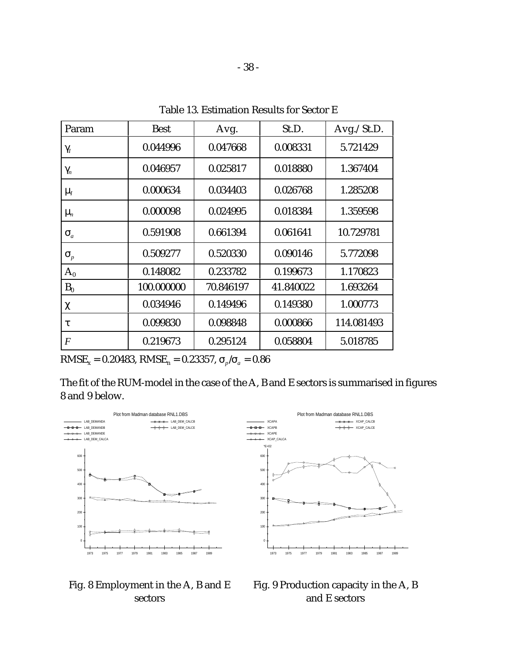| Param                           | <b>Best</b> | Avg.      | St.D.     | Avg./St.D. |
|---------------------------------|-------------|-----------|-----------|------------|
| $\gamma_{\scriptscriptstyle I}$ | 0.044996    | 0.047668  | 0.008331  | 5.721429   |
| $\gamma_{\scriptscriptstyle n}$ | 0.046957    | 0.025817  | 0.018880  | 1.367404   |
| $\mu_I$                         | 0.000634    | 0.034403  | 0.026768  | 1.285208   |
| $\mu_n$                         | 0.000098    | 0.024995  | 0.018384  | 1.359598   |
| $\sigma_a$                      | 0.591908    | 0.661394  | 0.061641  | 10.729781  |
| $\sigma_{p}$                    | 0.509277    | 0.520330  | 0.090146  | 5.772098   |
| $A_0$                           | 0.148082    | 0.233782  | 0.199673  | 1.170823   |
| $B_0$                           | 100.000000  | 70.846197 | 41.840022 | 1.693264   |
| χ                               | 0.034946    | 0.149496  | 0.149380  | 1.000773   |
| τ                               | 0.099830    | 0.098848  | 0.000866  | 114.081493 |
| $\overline{F}$                  | 0.219673    | 0.295124  | 0.058804  | 5.018785   |

Table 13. Estimation Results for Sector E

 $RMSE_x = 0.20483$ ,  $RMSE_n = 0.23357$ ,  $\sigma_p/\sigma_a = 0.86$ 

The fit of the RUM-model in the case of the A, B and E sectors is summarised in figures 8 and 9 below.



# Fig. 8 Employment in the A, B and E Fig. 9 Production capacity in the A, B

sectors and E sectors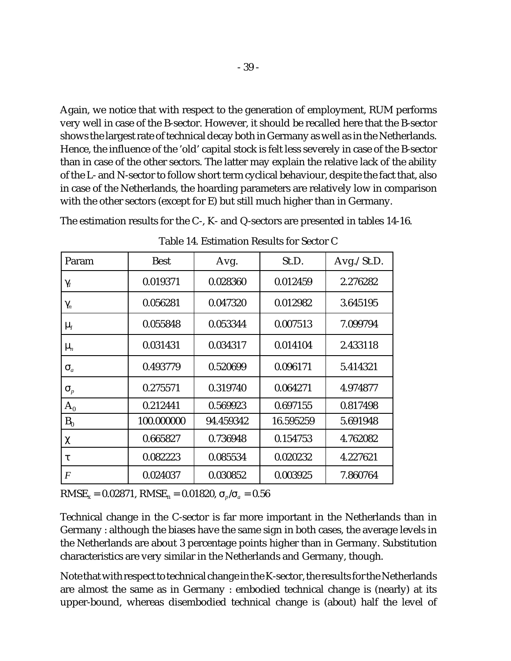Again, we notice that with respect to the generation of employment, RUM performs very well in case of the B-sector. However, it should be recalled here that the B-sector shows the largest rate of technical decay both in Germany as well as in the Netherlands. Hence, the influence of the 'old' capital stock is felt less severely in case of the B-sector than in case of the other sectors. The latter may explain the relative lack of the ability of the L- and N-sector to follow short term cyclical behaviour, despite the fact that, also in case of the Netherlands, the hoarding parameters are relatively low in comparison with the other sectors (except for E) but still much higher than in Germany.

The estimation results for the C-, K- and Q-sectors are presented in tables 14-16.

| Param                           | <b>Best</b> | Avg.      | St.D.     | Avg./St.D. |
|---------------------------------|-------------|-----------|-----------|------------|
| $\gamma_{\scriptscriptstyle I}$ | 0.019371    | 0.028360  | 0.012459  | 2.276282   |
| $\gamma_n$                      | 0.056281    | 0.047320  | 0.012982  | 3.645195   |
| $\mu_I$                         | 0.055848    | 0.053344  | 0.007513  | 7.099794   |
| $\mu_n$                         | 0.031431    | 0.034317  | 0.014104  | 2.433118   |
| $\sigma_a$                      | 0.493779    | 0.520699  | 0.096171  | 5.414321   |
| $\sigma_{\scriptscriptstyle p}$ | 0.275571    | 0.319740  | 0.064271  | 4.974877   |
| $A_0$                           | 0.212441    | 0.569923  | 0.697155  | 0.817498   |
| $B_0$                           | 100.000000  | 94.459342 | 16.595259 | 5.691948   |
| χ                               | 0.665827    | 0.736948  | 0.154753  | 4.762082   |
| τ                               | 0.082223    | 0.085534  | 0.020232  | 4.227621   |
| $\overline{F}$                  | 0.024037    | 0.030852  | 0.003925  | 7.860764   |

| Table 14. Estimation Results for Sector C |
|-------------------------------------------|
|-------------------------------------------|

 $RMSE_x = 0.02871$ ,  $RMSE_n = 0.01820$ ,  $\sigma_p/\sigma_a = 0.56$ 

Technical change in the C-sector is far more important in the Netherlands than in Germany : although the biases have the same sign in both cases, the average levels in the Netherlands are about 3 percentage points higher than in Germany. Substitution characteristics are very similar in the Netherlands and Germany, though.

Notethat with respect to technical change in the K-sector, the results for the Netherlands are almost the same as in Germany : embodied technical change is (nearly) at its upper-bound, whereas disembodied technical change is (about) half the level of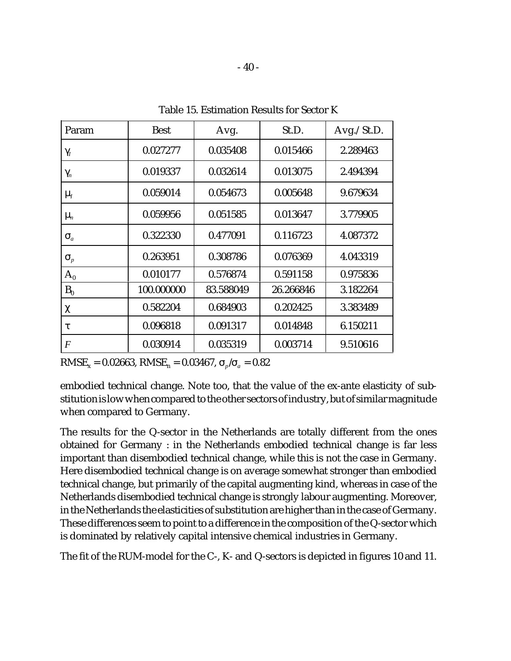| Param          | <b>Best</b> | Avg.      | St.D.     | Avg./St.D. |
|----------------|-------------|-----------|-----------|------------|
| $\gamma_{I}$   | 0.027277    | 0.035408  | 0.015466  | 2.289463   |
| $\gamma_n$     | 0.019337    | 0.032614  | 0.013075  | 2.494394   |
| $\mu_I$        | 0.059014    | 0.054673  | 0.005648  | 9.679634   |
| $\mu_n$        | 0.059956    | 0.051585  | 0.013647  | 3.779905   |
| $\sigma_a$     | 0.322330    | 0.477091  | 0.116723  | 4.087372   |
| $\sigma_{p}$   | 0.263951    | 0.308786  | 0.076369  | 4.043319   |
| $A_0$          | 0.010177    | 0.576874  | 0.591158  | 0.975836   |
| $B_0$          | 100.000000  | 83.588049 | 26.266846 | 3.182264   |
| χ              | 0.582204    | 0.684903  | 0.202425  | 3.383489   |
| τ              | 0.096818    | 0.091317  | 0.014848  | 6.150211   |
| $\overline{F}$ | 0.030914    | 0.035319  | 0.003714  | 9.510616   |

Table 15. Estimation Results for Sector K

 $RMSE_x = 0.02663$ ,  $RMSE_n = 0.03467$ ,  $\sigma_p/\sigma_a = 0.82$ 

embodied technical change. Note too, that the value of the ex-ante elasticity of substitution is low when compared to the other sectors of industry, but of similar magnitude when compared to Germany.

The results for the Q-sector in the Netherlands are totally different from the ones obtained for Germany : in the Netherlands embodied technical change is far less important than disembodied technical change, while this is not the case in Germany. Here disembodied technical change is on average somewhat stronger than embodied technical change, but primarily of the capital augmenting kind, whereas in case of the Netherlands disembodied technical change is strongly labour augmenting. Moreover, in the Netherlands the elasticities of substitution are higher than in the case of Germany. These differences seem to point to a difference in the composition of the Q-sector which is dominated by relatively capital intensive chemical industries in Germany.

The fit of the RUM-model for the C-, K- and Q-sectors is depicted in figures 10 and 11.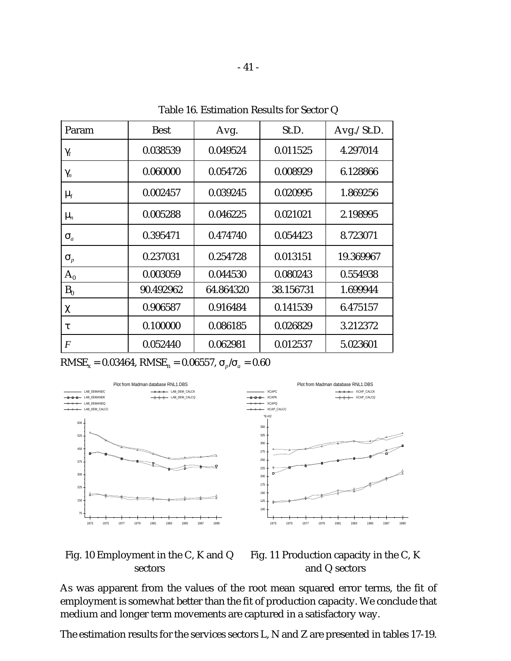| Param                           | <b>Best</b> | Avg.      | St.D.     | Avg./St.D. |
|---------------------------------|-------------|-----------|-----------|------------|
| $\gamma_I$                      | 0.038539    | 0.049524  | 0.011525  | 4.297014   |
| $\gamma_n$                      | 0.060000    | 0.054726  | 0.008929  | 6.128866   |
| $\mu_I$                         | 0.002457    | 0.039245  | 0.020995  | 1.869256   |
| $\mu_n$                         | 0.005288    | 0.046225  | 0.021021  | 2.198995   |
| $\sigma_a$                      | 0.395471    | 0.474740  | 0.054423  | 8.723071   |
| $\sigma_{\scriptscriptstyle p}$ | 0.237031    | 0.254728  | 0.013151  | 19.369967  |
| $A_0$                           | 0.003059    | 0.044530  | 0.080243  | 0.554938   |
| $B_0$                           | 90.492962   | 64.864320 | 38.156731 | 1.699944   |
| χ                               | 0.906587    | 0.916484  | 0.141539  | 6.475157   |
| τ                               | 0.100000    | 0.086185  | 0.026829  | 3.212372   |
| $\overline{F}$                  | 0.052440    | 0.062981  | 0.012537  | 5.023601   |

Table 16. Estimation Results for Sector Q

 $RMSE_x = 0.03464$ ,  $RMSE_n = 0.06557$ ,  $\sigma_p/\sigma_a = 0.60$ 





sectors and Q sectors

As was apparent from the values of the root mean squared error terms, the fit of employment is somewhat better than the fit of production capacity. We conclude that medium and longer term movements are captured in a satisfactory way.

The estimation results for the services sectors L, N and Z are presented in tables 17-19.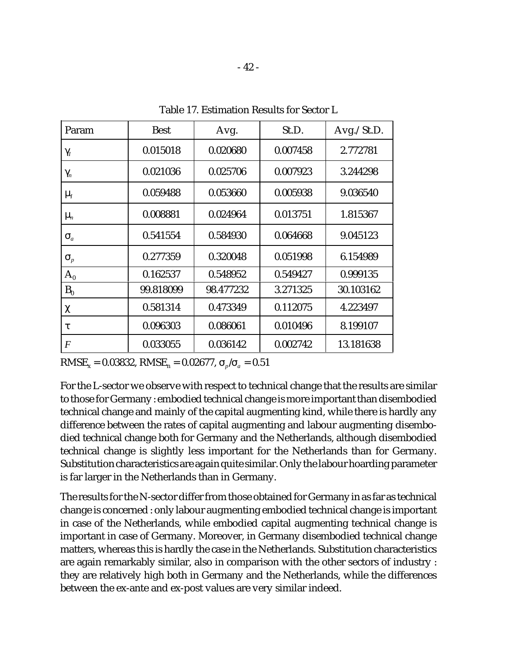| Param          | <b>Best</b> | Avg.      | St.D.    | Avg./St.D. |
|----------------|-------------|-----------|----------|------------|
| $\gamma_I$     | 0.015018    | 0.020680  | 0.007458 | 2.772781   |
| $\gamma_n$     | 0.021036    | 0.025706  | 0.007923 | 3.244298   |
| $\mu_I$        | 0.059488    | 0.053660  | 0.005938 | 9.036540   |
| $\mu_n$        | 0.008881    | 0.024964  | 0.013751 | 1.815367   |
| $\sigma_a$     | 0.541554    | 0.584930  | 0.064668 | 9.045123   |
| $\sigma_{p}$   | 0.277359    | 0.320048  | 0.051998 | 6.154989   |
| $A_0$          | 0.162537    | 0.548952  | 0.549427 | 0.999135   |
| $B_0$          | 99.818099   | 98.477232 | 3.271325 | 30.103162  |
| $\chi$         | 0.581314    | 0.473349  | 0.112075 | 4.223497   |
| τ              | 0.096303    | 0.086061  | 0.010496 | 8.199107   |
| $\overline{F}$ | 0.033055    | 0.036142  | 0.002742 | 13.181638  |

Table 17. Estimation Results for Sector L

 $RMSE_x = 0.03832$ ,  $RMSE_n = 0.02677$ ,  $\sigma_p/\sigma_a = 0.51$ 

For the L-sector we observe with respect to technical change that the results are similar to those for Germany : embodied technical change is more important than disembodied technical change and mainly of the capital augmenting kind, while there is hardly any difference between the rates of capital augmenting and labour augmenting disembodied technical change both for Germany and the Netherlands, although disembodied technical change is slightly less important for the Netherlands than for Germany. Substitution characteristics are again quite similar. Only the labour hoarding parameter is far larger in the Netherlands than in Germany.

The results for the N-sector differ from those obtained for Germany in as far as technical change is concerned : only labour augmenting embodied technical change is important in case of the Netherlands, while embodied capital augmenting technical change is important in case of Germany. Moreover, in Germany disembodied technical change matters, whereas this is hardly the case in the Netherlands. Substitution characteristics are again remarkably similar, also in comparison with the other sectors of industry : they are relatively high both in Germany and the Netherlands, while the differences between the ex-ante and ex-post values are very similar indeed.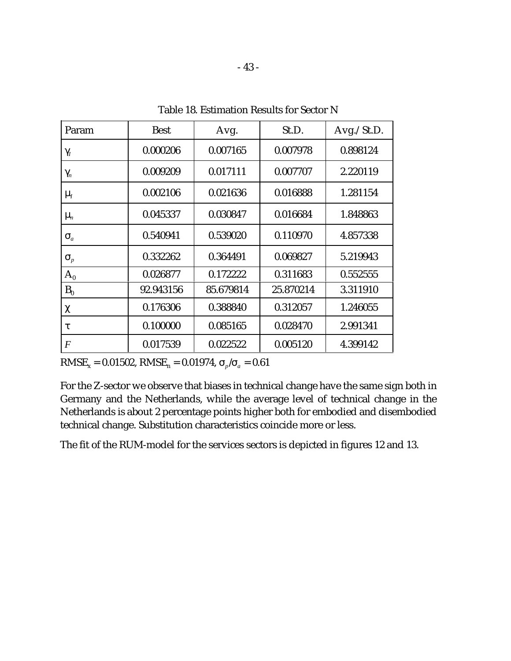| Param                           | <b>Best</b> | Avg.      | St.D.     | Avg./St.D. |
|---------------------------------|-------------|-----------|-----------|------------|
| $\gamma_{\scriptscriptstyle I}$ | 0.000206    | 0.007165  | 0.007978  | 0.898124   |
| $\gamma_n$                      | 0.009209    | 0.017111  | 0.007707  | 2.220119   |
| $\mu_I$                         | 0.002106    | 0.021636  | 0.016888  | 1.281154   |
| $\mu_n$                         | 0.045337    | 0.030847  | 0.016684  | 1.848863   |
| $\sigma_a$                      | 0.540941    | 0.539020  | 0.110970  | 4.857338   |
| $\sigma_{\scriptscriptstyle p}$ | 0.332262    | 0.364491  | 0.069827  | 5.219943   |
| $A_0$                           | 0.026877    | 0.172222  | 0.311683  | 0.552555   |
| $B_0$                           | 92.943156   | 85.679814 | 25.870214 | 3.311910   |
| χ                               | 0.176306    | 0.388840  | 0.312057  | 1.246055   |
| τ                               | 0.100000    | 0.085165  | 0.028470  | 2.991341   |
| $\overline{F}$                  | 0.017539    | 0.022522  | 0.005120  | 4.399142   |

Table 18. Estimation Results for Sector N

 $RMSE_x = 0.01502$ ,  $RMSE_n = 0.01974$ ,  $\sigma_p/\sigma_a = 0.61$ 

For the Z-sector we observe that biases in technical change have the same sign both in Germany and the Netherlands, while the average level of technical change in the Netherlands is about 2 percentage points higher both for embodied and disembodied technical change. Substitution characteristics coincide more or less.

The fit of the RUM-model for the services sectors is depicted in figures 12 and 13.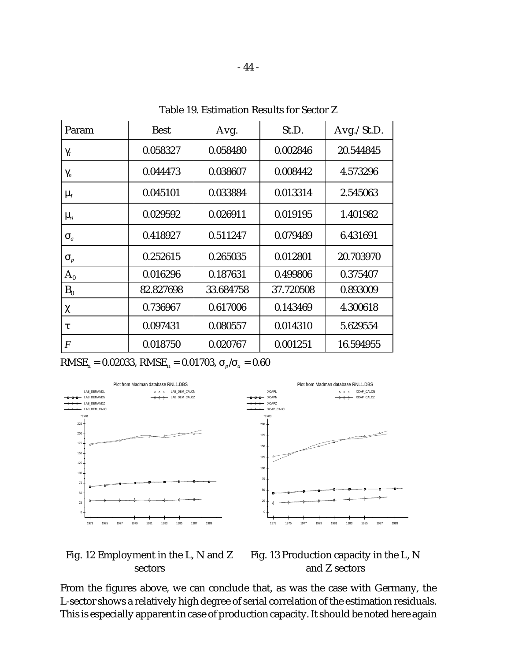| Param          | <b>Best</b> | Avg.      | St.D.     | Avg./St.D. |
|----------------|-------------|-----------|-----------|------------|
| $\gamma_{I}$   | 0.058327    | 0.058480  | 0.002846  | 20.544845  |
| $\gamma_n$     | 0.044473    | 0.038607  | 0.008442  | 4.573296   |
| $\mu_I$        | 0.045101    | 0.033884  | 0.013314  | 2.545063   |
| $\mu_n$        | 0.029592    | 0.026911  | 0.019195  | 1.401982   |
| $\sigma_a$     | 0.418927    | 0.511247  | 0.079489  | 6.431691   |
| $\sigma_{p}$   | 0.252615    | 0.265035  | 0.012801  | 20.703970  |
| $A_0$          | 0.016296    | 0.187631  | 0.499806  | 0.375407   |
| $B_0$          | 82.827698   | 33.684758 | 37.720508 | 0.893009   |
| χ              | 0.736967    | 0.617006  | 0.143469  | 4.300618   |
| τ              | 0.097431    | 0.080557  | 0.014310  | 5.629554   |
| $\overline{F}$ | 0.018750    | 0.020767  | 0.001251  | 16.594955  |

Table 19. Estimation Results for Sector Z

 $RMSE_x = 0.02033$ ,  $RMSE_n = 0.01703$ ,  $\sigma_p/\sigma_a = 0.60$ 







From the figures above, we can conclude that, as was the case with Germany, the L-sector shows a relatively high degree of serial correlation of the estimation residuals. This is especially apparent in case of production capacity. It should be noted here again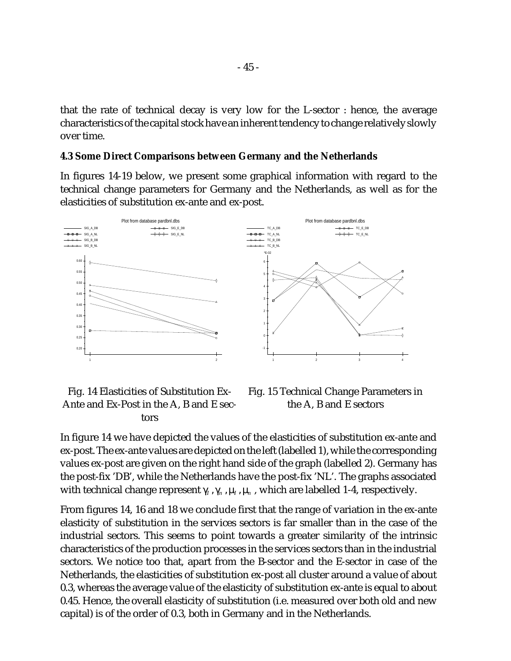that the rate of technical decay is very low for the L-sector : hence, the average characteristics of the capital stock have an inherent tendency to change relatively slowly over time.

#### **4.3 Some Direct Comparisons between Germany and the Netherlands**

In figures 14-19 below, we present some graphical information with regard to the technical change parameters for Germany and the Netherlands, as well as for the elasticities of substitution ex-ante and ex-post.



Fig. 14 Elasticities of Substitution Ex- Fig. 15 Technical Change Parameters in Ante and Ex-Post in the A, B and E sec-<br>the A, B and E sectors tors

In figure 14 we have depicted the values of the elasticities of substitution ex-ante and ex-post. The ex-ante values are depicted on the left (labelled 1), while the corresponding values ex-post are given on the right hand side of the graph (labelled 2). Germany has the post-fix 'DB', while the Netherlands have the post-fix 'NL'. The graphs associated **with technical change represent**  $\gamma$ , , $\gamma$ <sub>n</sub>, ,μ<sub>*i*</sub>, , which are labelled 1-4, respectively.

From figures 14, 16 and 18 we conclude first that the range of variation in the ex-ante elasticity of substitution in the services sectors is far smaller than in the case of the industrial sectors. This seems to point towards a greater similarity of the intrinsic characteristics of the production processes in the services sectors than in the industrial sectors. We notice too that, apart from the B-sector and the E-sector in case of the Netherlands, the elasticities of substitution ex-post all cluster around a value of about 0.3, whereas the average value of the elasticity of substitution ex-ante is equal to about 0.45. Hence, the overall elasticity of substitution (i.e. measured over both old and new capital) is of the order of 0.3, both in Germany and in the Netherlands.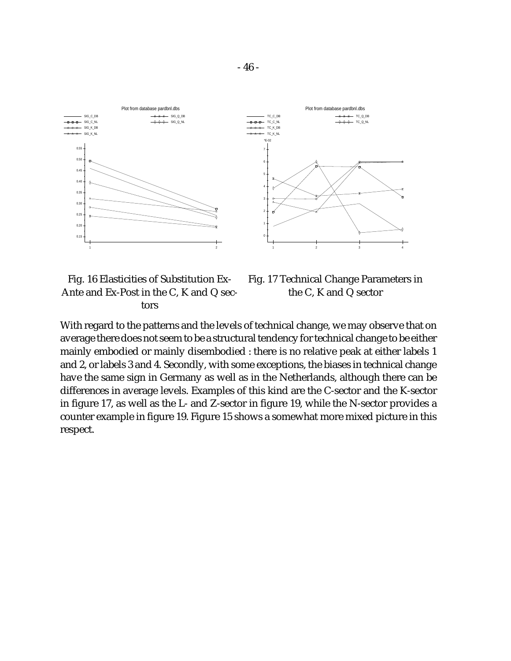

Fig. 16 Elasticities of Substitution Ex- Fig. 17 Technical Change Parameters in Ante and Ex-Post in the C, K and Q sec-<br>the C, K and Q sector tors

With regard to the patterns and the levels of technical change, we may observe that on average there does not seem to be a structural tendency for technical change to be either mainly embodied or mainly disembodied : there is no relative peak at either labels 1 and 2, or labels 3 and 4. Secondly, with some exceptions, the biases in technical change have the same sign in Germany as well as in the Netherlands, although there can be differences in average levels. Examples of this kind are the C-sector and the K-sector in figure 17, as well as the L- and Z-sector in figure 19, while the N-sector provides a counter example in figure 19. Figure 15 shows a somewhat more mixed picture in this respect.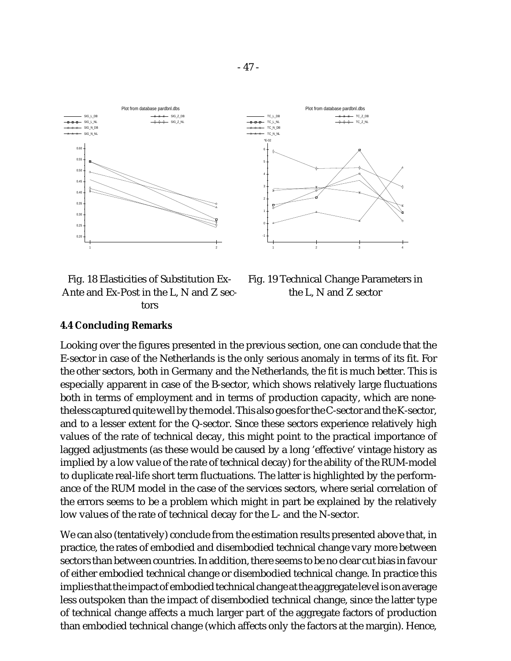

Fig. 18 Elasticities of Substitution Ex- Fig. 19 Technical Change Parameters in Ante and Ex-Post in the L, N and Z sec- the L, N and Z sector tors

#### **4.4 Concluding Remarks**

Looking over the figures presented in the previous section, one can conclude that the E-sector in case of the Netherlands is the only serious anomaly in terms of its fit. For the other sectors, both in Germany and the Netherlands, the fit is much better. This is especially apparent in case of the B-sector, which shows relatively large fluctuations both in terms of employment and in terms of production capacity, which are nonethelesscaptured quitewell by the model.This also goesfor theC-sector and theK-sector, and to a lesser extent for the Q-sector. Since these sectors experience relatively high values of the rate of technical decay, this might point to the practical importance of lagged adjustments (as these would be caused by a long 'effective' vintage history as implied by a low value of the rate of technical decay) for the ability of the RUM-model to duplicate real-life short term fluctuations. The latter is highlighted by the performance of the RUM model in the case of the services sectors, where serial correlation of the errors seems to be a problem which might in part be explained by the relatively low values of the rate of technical decay for the L- and the N-sector.

We can also (tentatively) conclude from the estimation results presented above that, in practice, the rates of embodied and disembodied technical change vary more between sectors than between countries. In addition, there seems to be no clear cut bias in favour of either embodied technical change or disembodied technical change. In practice this impliesthat the impactof embodied technicalchangeat the aggregatelevel is on average less outspoken than the impact of disembodied technical change, since the latter type of technical change affects a much larger part of the aggregate factors of production than embodied technical change (which affects only the factors at the margin). Hence,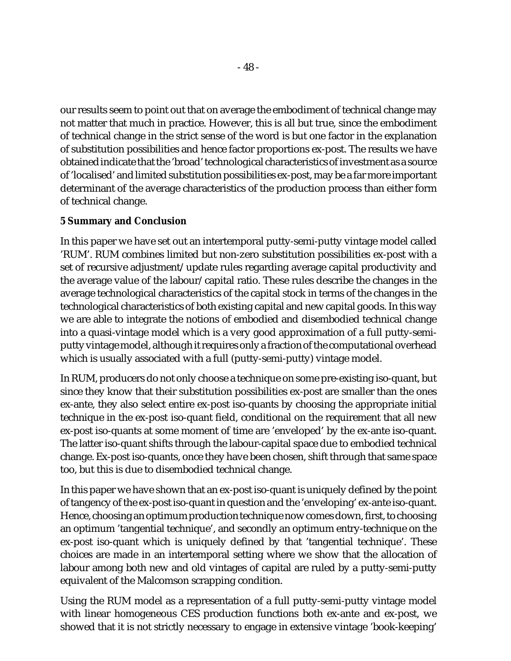our results seem to point out that on average the embodiment of technical change may not matter that much in practice. However, this is all but true, since the embodiment of technical change in the strict sense of the word is but one factor in the explanation of substitution possibilities and hence factor proportions ex-post. The results we have obtained indicate that the 'broad' technological characteristics of investment as a source of 'localised' and limited substitution possibilities ex-post, may be a far more important determinant of the average characteristics of the production process than either form of technical change.

### **5 Summary and Conclusion**

In this paper we have set out an intertemporal putty-semi-putty vintage model called 'RUM'. RUM combines limited but non-zero substitution possibilities ex-post with a set of recursive adjustment/update rules regarding average capital productivity and the average value of the labour/capital ratio. These rules describe the changes in the average technological characteristics of the capital stock in terms of the changes in the technological characteristics of both existing capital and new capital goods. In this way we are able to integrate the notions of embodied and disembodied technical change into a quasi-vintage model which is a very good approximation of a full putty-semiputty vintage model, although it requires only a fraction of the computational overhead which is usually associated with a full (putty-semi-putty) vintage model.

In RUM, producers do not only choose a technique on some pre-existing iso-quant, but since they know that their substitution possibilities ex-post are smaller than the ones ex-ante, they also select entire ex-post iso-quants by choosing the appropriate initial technique in the ex-post iso-quant field, conditional on the requirement that all new ex-post iso-quants at some moment of time are 'enveloped' by the ex-ante iso-quant. The latter iso-quant shifts through the labour-capital space due to embodied technical change. Ex-post iso-quants, once they have been chosen, shift through that same space too, but this is due to disembodied technical change.

In this paper we have shown that an ex-post iso-quant is uniquely defined by the point of tangency of the ex-post iso-quant in question and the 'enveloping' ex-ante iso-quant. Hence, choosing an optimum production technique now comes down, first, to choosing an optimum 'tangential technique', and secondly an optimum entry-technique on the ex-post iso-quant which is uniquely defined by that 'tangential technique'. These choices are made in an intertemporal setting where we show that the allocation of labour among both new and old vintages of capital are ruled by a putty-semi-putty equivalent of the Malcomson scrapping condition.

Using the RUM model as a representation of a full putty-semi-putty vintage model with linear homogeneous CES production functions both ex-ante and ex-post, we showed that it is not strictly necessary to engage in extensive vintage 'book-keeping'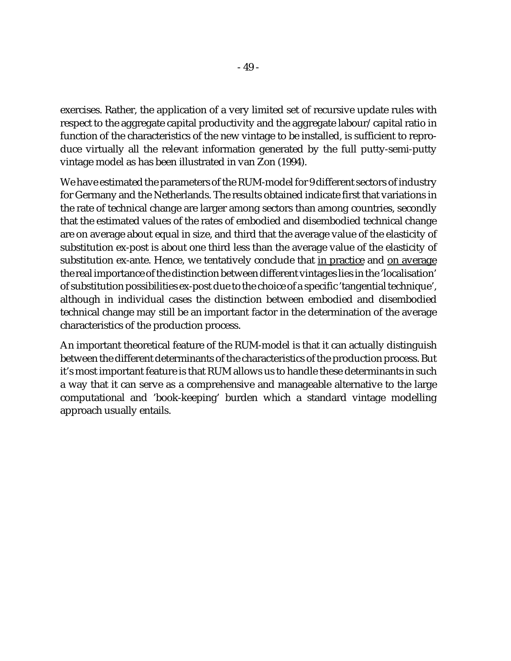exercises. Rather, the application of a very limited set of recursive update rules with respect to the aggregate capital productivity and the aggregate labour/capital ratio in function of the characteristics of the new vintage to be installed, is sufficient to reproduce virtually all the relevant information generated by the full putty-semi-putty vintage model as has been illustrated in van Zon (1994).

We have estimated the parameters of the RUM-model for 9 different sectors of industry for Germany and the Netherlands. The results obtained indicate first that variations in the rate of technical change are larger among sectors than among countries, secondly that the estimated values of the rates of embodied and disembodied technical change are on average about equal in size, and third that the average value of the elasticity of substitution ex-post is about one third less than the average value of the elasticity of substitution ex-ante. Hence, we tentatively conclude that in practice and on average the real importance of the distinction between different vintages lies in the 'localisation' of substitution possibilities ex-post due to the choice of a specific 'tangential technique', although in individual cases the distinction between embodied and disembodied technical change may still be an important factor in the determination of the average characteristics of the production process.

An important theoretical feature of the RUM-model is that it can actually distinguish between the different determinants of the characteristics of the production process. But it's most important feature is that RUM allows us to handle these determinants in such a way that it can serve as a comprehensive and manageable alternative to the large computational and 'book-keeping' burden which a standard vintage modelling approach usually entails.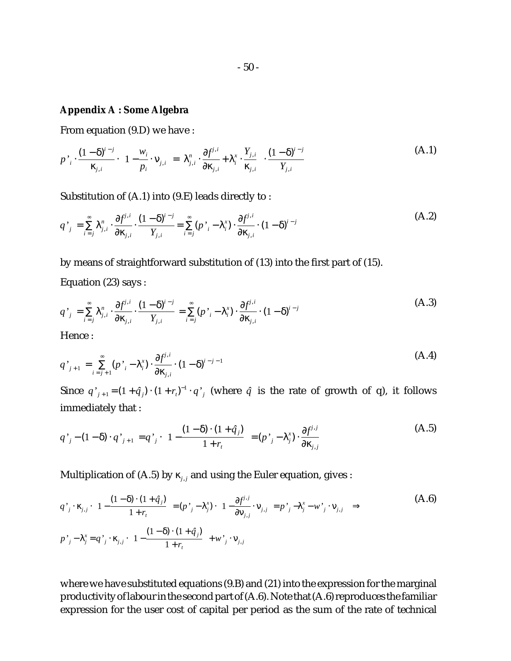### **Appendix A : Some Algebra**

From equation (9.D) we have :

$$
p^{\prime}_{i} \cdot \frac{(1-\delta)^{i-j}}{\kappa_{j,i}} \cdot \left(1 - \frac{w_{i}}{p_{i}} \cdot \mathbf{v}_{j,i}\right) = \left(\lambda_{j,i}^{n} \cdot \frac{\partial f^{j,i}}{\partial \kappa_{j,i}} + \lambda_{i}^{x} \cdot \frac{Y_{j,i}}{\kappa_{j,i}}\right) \cdot \frac{(1-\delta)^{i-j}}{Y_{j,i}}
$$
(A.1)

Substitution of (A.1) into (9.E) leads directly to :

$$
q^{\prime}_{j} = \sum_{i=j}^{\infty} \lambda_{j,i}^{n} \cdot \frac{\partial f^{j,i}}{\partial \kappa_{j,i}} \cdot \frac{(1-\delta)^{i-j}}{Y_{j,i}} = \sum_{i=j}^{\infty} (p^{\prime}_{i} - \lambda_{i}^{x}) \cdot \frac{\partial f^{j,i}}{\partial \kappa_{j,i}} \cdot (1-\delta)^{i-j}
$$
(A.2)

by means of straightforward substitution of (13) into the first part of (15).

Equation (23) says :

$$
q^{\prime}_{j} = \sum_{i=j}^{\infty} \lambda_{j,i}^{n} \cdot \frac{\partial f^{j,i}}{\partial \kappa_{j,i}} \cdot \frac{(1-\delta)^{i-j}}{Y_{j,i}} = \sum_{i=j}^{\infty} (p^{\prime}_{i} - \lambda_{i}^{x}) \cdot \frac{\partial f^{j,i}}{\partial \kappa_{j,i}} \cdot (1-\delta)^{i-j}
$$
(A.3)

Hence :

$$
q^*_{j+1} = \sum_{i=j+1}^{\infty} (p^*_{i} - \lambda_i^x) \cdot \frac{\partial f^{j,i}}{\partial \kappa_{j,i}} \cdot (1 - \delta)^{i-j-1}
$$
 (A.4)

Since  $q'_{j+1} = (1 + \hat{q}_j) \cdot (1 + r_j)^{-1} \cdot q'_{j}$  (where  $\hat{q}$  is the rate of growth of q), it follows immediately that :

$$
q'_{j} - (1 - \delta) \cdot q'_{j+1} = q'_{j} \cdot \left(1 - \frac{(1 - \delta) \cdot (1 + \hat{q}_{j})}{1 + r_{t}}\right) = (p'_{j} - \lambda_{j}^{x}) \cdot \frac{\partial f^{j,j}}{\partial \kappa_{j,j}}
$$
(A.5)

Multiplication of (A.5) by  $\kappa_{j,j}$  and using the Euler equation, gives :

$$
q^{\prime}_{j} \cdot \kappa_{j,j} \cdot \left(1 - \frac{(1-\delta) \cdot (1+q_{j})}{1+r_{i}}\right) = (p^{\prime}_{j} - \lambda_{j}^{x}) \cdot \left(1 - \frac{\partial f^{j,j}}{\partial v_{j,j}} \cdot v_{j,j}\right) = p^{\prime}_{j} - \lambda_{j}^{x} - w^{\prime}_{j} \cdot v_{j,j} \quad \Rightarrow
$$
\n
$$
p^{\prime}_{j} - \lambda_{j}^{x} = q^{\prime}_{j} \cdot \kappa_{j,j} \cdot \left(1 - \frac{(1-\delta) \cdot (1+q_{j})}{1+r_{i}}\right) + w^{\prime}_{j} \cdot v_{j,j}
$$
\n(A.6)

where we have substituted equations (9.B) and (21) into the expression for the marginal productivity of labour in the second part of  $(A.6)$ . Note that  $(A.6)$  reproduces the familiar expression for the user cost of capital per period as the sum of the rate of technical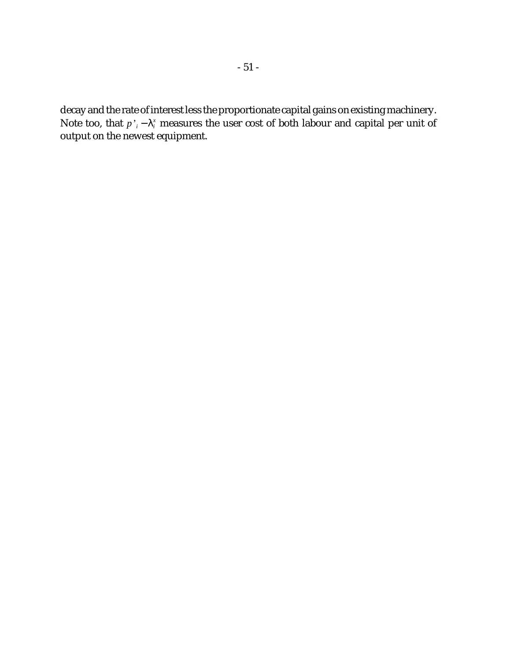decay and the rate of interest less the proportionate capital gains on existing machinery. Note too, that  $p^*_{i} - \lambda_i^x$  measures the user cost of both labour and capital per unit of output on the newest equipment.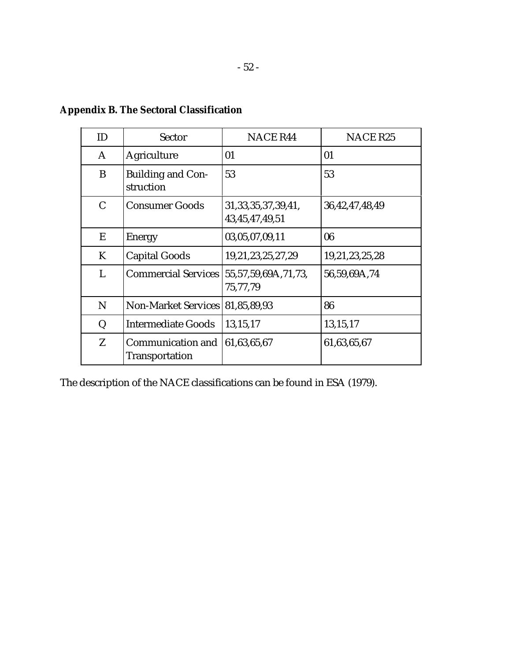|  | н<br>,<br>×<br>۰. |  |
|--|-------------------|--|
|  |                   |  |

| ID            | <b>Sector</b>                         | <b>NACE R44</b>                               | <b>NACE R25</b> |
|---------------|---------------------------------------|-----------------------------------------------|-----------------|
| A             | Agriculture                           | 01                                            | 01              |
| B             | <b>Building and Con-</b><br>struction | 53                                            | 53              |
| $\mathcal{C}$ | <b>Consumer Goods</b>                 | 31, 33, 35, 37, 39, 41,<br>43, 45, 47, 49, 51 | 36,42,47,48,49  |
| E             | Energy                                | 03,05,07,09,11                                | 06              |
| K             | <b>Capital Goods</b>                  | 19,21,23,25,27,29                             | 19,21,23,25,28  |
| L             | <b>Commercial Services</b>            | 55, 57, 59, 69A, 71, 73,<br>75,77,79          | 56,59,69A,74    |
| N             | <b>Non-Market Services</b>            | 81,85,89,93                                   | 86              |
| Q             | <b>Intermediate Goods</b>             | 13,15,17                                      | 13,15,17        |
| Z             | Communication and<br>Transportation   | 61,63,65,67                                   | 61,63,65,67     |

## **Appendix B. The Sectoral Classification**

The description of the NACE classifications can be found in ESA (1979).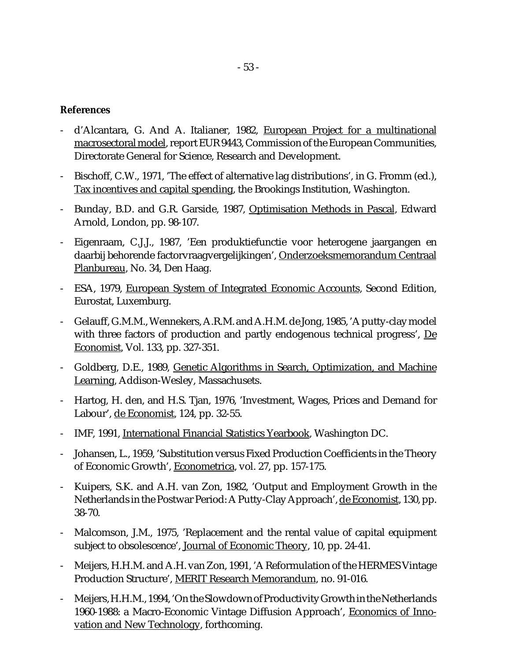#### **References**

- d'Alcantara, G. And A. Italianer, 1982, European Project for a multinational macrosectoral model, report EUR 9443, Commission of the European Communities, Directorate General for Science, Research and Development.
- Bischoff, C.W., 1971, 'The effect of alternative lag distributions', in G. Fromm (ed.), Tax incentives and capital spending, the Brookings Institution, Washington.
- Bunday, B.D. and G.R. Garside, 1987, Optimisation Methods in Pascal, Edward Arnold, London, pp. 98-107.
- Eigenraam, C.J.J., 1987, 'Een produktiefunctie voor heterogene jaargangen en daarbij behorende factorvraagvergelijkingen', Onderzoeksmemorandum Centraal Planbureau, No. 34, Den Haag.
- ESA, 1979, European System of Integrated Economic Accounts, Second Edition, Eurostat, Luxemburg.
- Gelauff, G.M.M., Wennekers, A.R.M. and A.H.M. de Jong, 1985, 'A putty-clay model with three factors of production and partly endogenous technical progress', De Economist, Vol. 133, pp. 327-351.
- Goldberg, D.E., 1989, Genetic Algorithms in Search, Optimization, and Machine Learning, Addison-Wesley, Massachusets.
- Hartog, H. den, and H.S. Tjan, 1976, 'Investment, Wages, Prices and Demand for Labour', de Economist, 124, pp. 32-55.
- IMF, 1991, International Financial Statistics Yearbook, Washington DC.
- Johansen, L., 1959, 'Substitution versus Fixed Production Coefficients in the Theory of Economic Growth', Econometrica, vol. 27, pp. 157-175.
- Kuipers, S.K. and A.H. van Zon, 1982, 'Output and Employment Growth in the Netherlands in the Postwar Period: A Putty-Clay Approach', de Economist, 130, pp. 38-70.
- Malcomson, J.M., 1975, 'Replacement and the rental value of capital equipment subject to obsolescence', Journal of Economic Theory, 10, pp. 24-41.
- Meijers, H.H.M. and A.H. van Zon, 1991, 'A Reformulation of the HERMES Vintage Production Structure', MERIT Research Memorandum, no. 91-016.
- Meijers, H.H.M., 1994, 'On the Slowdown of Productivity Growth in the Netherlands 1960-1988: a Macro-Economic Vintage Diffusion Approach', Economics of Innovation and New Technology, forthcoming.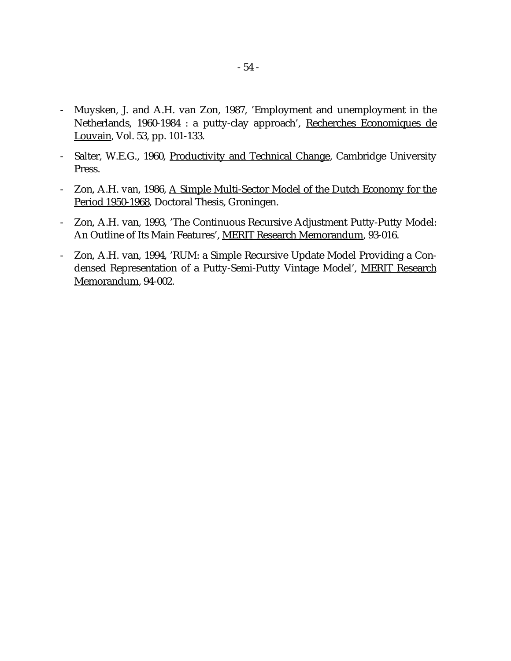- Muysken, J. and A.H. van Zon, 1987, 'Employment and unemployment in the Netherlands, 1960-1984 : a putty-clay approach', Recherches Economiques de Louvain, Vol. 53, pp. 101-133.
- Salter, W.E.G., 1960, Productivity and Technical Change, Cambridge University Press.
- Zon, A.H. van, 1986, A Simple Multi-Sector Model of the Dutch Economy for the Period 1950-1968, Doctoral Thesis, Groningen.
- Zon, A.H. van, 1993, 'The Continuous Recursive Adjustment Putty-Putty Model: An Outline of Its Main Features', MERIT Research Memorandum, 93-016.
- Zon, A.H. van, 1994, 'RUM: a Simple Recursive Update Model Providing a Condensed Representation of a Putty-Semi-Putty Vintage Model', MERIT Research Memorandum, 94-002.